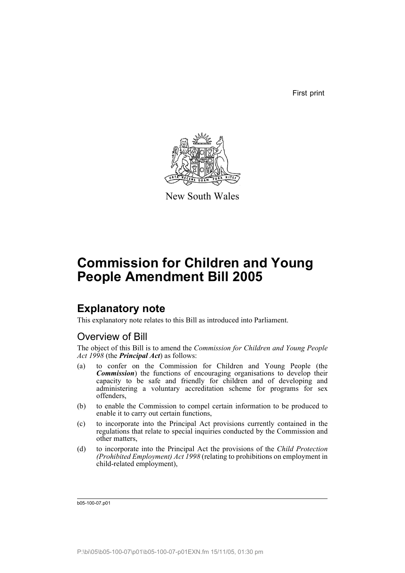First print



New South Wales

# **Commission for Children and Young People Amendment Bill 2005**

## **Explanatory note**

This explanatory note relates to this Bill as introduced into Parliament.

## Overview of Bill

The object of this Bill is to amend the *Commission for Children and Young People Act 1998* (the *Principal Act*) as follows:

- (a) to confer on the Commission for Children and Young People (the *Commission*) the functions of encouraging organisations to develop their capacity to be safe and friendly for children and of developing and administering a voluntary accreditation scheme for programs for sex offenders,
- (b) to enable the Commission to compel certain information to be produced to enable it to carry out certain functions,
- (c) to incorporate into the Principal Act provisions currently contained in the regulations that relate to special inquiries conducted by the Commission and other matters,
- (d) to incorporate into the Principal Act the provisions of the *Child Protection (Prohibited Employment) Act 1998* (relating to prohibitions on employment in child-related employment),

b05-100-07.p01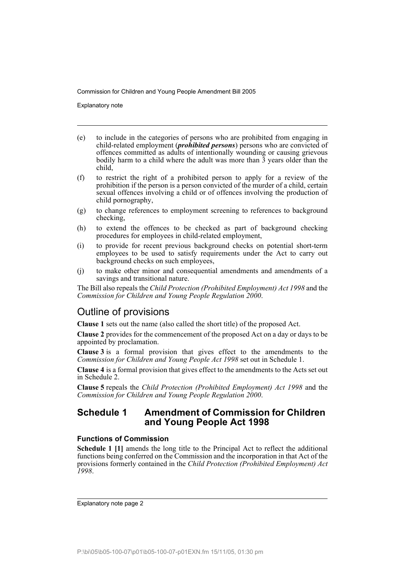Explanatory note

- (e) to include in the categories of persons who are prohibited from engaging in child-related employment (*prohibited persons*) persons who are convicted of offences committed as adults of intentionally wounding or causing grievous bodily harm to a child where the adult was more than  $\frac{3}{2}$  years older than the child,
- (f) to restrict the right of a prohibited person to apply for a review of the prohibition if the person is a person convicted of the murder of a child, certain sexual offences involving a child or of offences involving the production of child pornography,
- (g) to change references to employment screening to references to background checking,
- (h) to extend the offences to be checked as part of background checking procedures for employees in child-related employment,
- (i) to provide for recent previous background checks on potential short-term employees to be used to satisfy requirements under the Act to carry out background checks on such employees,
- (j) to make other minor and consequential amendments and amendments of a savings and transitional nature.

The Bill also repeals the *Child Protection (Prohibited Employment) Act 1998* and the *Commission for Children and Young People Regulation 2000*.

## Outline of provisions

**Clause 1** sets out the name (also called the short title) of the proposed Act.

**Clause 2** provides for the commencement of the proposed Act on a day or days to be appointed by proclamation.

**Clause 3** is a formal provision that gives effect to the amendments to the *Commission for Children and Young People Act 1998* set out in Schedule 1.

**Clause 4** is a formal provision that gives effect to the amendments to the Acts set out in Schedule 2.

**Clause 5** repeals the *Child Protection (Prohibited Employment) Act 1998* and the *Commission for Children and Young People Regulation 2000*.

## **Schedule 1 Amendment of Commission for Children and Young People Act 1998**

## **Functions of Commission**

**Schedule 1 [1]** amends the long title to the Principal Act to reflect the additional functions being conferred on the Commission and the incorporation in that Act of the provisions formerly contained in the *Child Protection (Prohibited Employment) Act 1998*.

Explanatory note page 2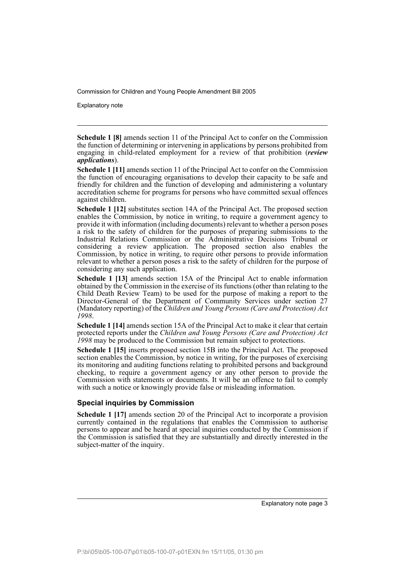Explanatory note

**Schedule 1 [8]** amends section 11 of the Principal Act to confer on the Commission the function of determining or intervening in applications by persons prohibited from engaging in child-related employment for a review of that prohibition (*review applications*).

**Schedule 1 [11]** amends section 11 of the Principal Act to confer on the Commission the function of encouraging organisations to develop their capacity to be safe and friendly for children and the function of developing and administering a voluntary accreditation scheme for programs for persons who have committed sexual offences against children.

**Schedule 1 [12]** substitutes section 14A of the Principal Act. The proposed section enables the Commission, by notice in writing, to require a government agency to provide it with information (including documents) relevant to whether a person poses a risk to the safety of children for the purposes of preparing submissions to the Industrial Relations Commission or the Administrative Decisions Tribunal or considering a review application. The proposed section also enables the Commission, by notice in writing, to require other persons to provide information relevant to whether a person poses a risk to the safety of children for the purpose of considering any such application.

**Schedule 1 [13]** amends section 15A of the Principal Act to enable information obtained by the Commission in the exercise of its functions (other than relating to the Child Death Review Team) to be used for the purpose of making a report to the Director-General of the Department of Community Services under section 27 (Mandatory reporting) of the *Children and Young Persons (Care and Protection) Act 1998*.

**Schedule 1 [14]** amends section 15A of the Principal Act to make it clear that certain protected reports under the *Children and Young Persons (Care and Protection) Act 1998* may be produced to the Commission but remain subject to protections.

**Schedule 1 [15]** inserts proposed section 15B into the Principal Act. The proposed section enables the Commission, by notice in writing, for the purposes of exercising its monitoring and auditing functions relating to prohibited persons and background checking, to require a government agency or any other person to provide the Commission with statements or documents. It will be an offence to fail to comply with such a notice or knowingly provide false or misleading information.

## **Special inquiries by Commission**

**Schedule 1 [17]** amends section 20 of the Principal Act to incorporate a provision currently contained in the regulations that enables the Commission to authorise persons to appear and be heard at special inquiries conducted by the Commission if the Commission is satisfied that they are substantially and directly interested in the subject-matter of the inquiry.

Explanatory note page 3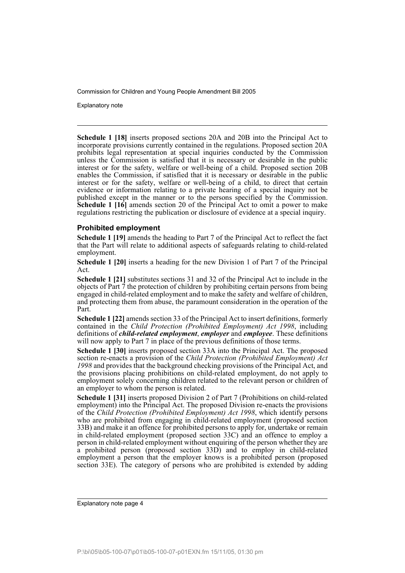Explanatory note

**Schedule 1 [18]** inserts proposed sections 20A and 20B into the Principal Act to incorporate provisions currently contained in the regulations. Proposed section 20A prohibits legal representation at special inquiries conducted by the Commission unless the Commission is satisfied that it is necessary or desirable in the public interest or for the safety, welfare or well-being of a child. Proposed section 20B enables the Commission, if satisfied that it is necessary or desirable in the public interest or for the safety, welfare or well-being of a child, to direct that certain evidence or information relating to a private hearing of a special inquiry not be published except in the manner or to the persons specified by the Commission. **Schedule 1 [16]** amends section 20 of the Principal Act to omit a power to make regulations restricting the publication or disclosure of evidence at a special inquiry.

## **Prohibited employment**

**Schedule 1 [19]** amends the heading to Part 7 of the Principal Act to reflect the fact that the Part will relate to additional aspects of safeguards relating to child-related employment.

**Schedule 1 [20]** inserts a heading for the new Division 1 of Part 7 of the Principal Act.

**Schedule 1 [21]** substitutes sections 31 and 32 of the Principal Act to include in the objects of Part 7 the protection of children by prohibiting certain persons from being engaged in child-related employment and to make the safety and welfare of children, and protecting them from abuse, the paramount consideration in the operation of the Part.

**Schedule 1 [22]** amends section 33 of the Principal Act to insert definitions, formerly contained in the *Child Protection (Prohibited Employment) Act 1998*, including definitions of *child-related employment*, *employer* and *employee*. These definitions will now apply to Part 7 in place of the previous definitions of those terms.

**Schedule 1 [30]** inserts proposed section 33A into the Principal Act. The proposed section re-enacts a provision of the *Child Protection (Prohibited Employment) Act 1998* and provides that the background checking provisions of the Principal Act, and the provisions placing prohibitions on child-related employment, do not apply to employment solely concerning children related to the relevant person or children of an employer to whom the person is related.

**Schedule 1 [31]** inserts proposed Division 2 of Part 7 (Prohibitions on child-related employment) into the Principal Act. The proposed Division re-enacts the provisions of the *Child Protection (Prohibited Employment) Act 1998*, which identify persons who are prohibited from engaging in child-related employment (proposed section 33B) and make it an offence for prohibited persons to apply for, undertake or remain in child-related employment (proposed section 33C) and an offence to employ a person in child-related employment without enquiring of the person whether they are a prohibited person (proposed section 33D) and to employ in child-related employment a person that the employer knows is a prohibited person (proposed section 33E). The category of persons who are prohibited is extended by adding

Explanatory note page 4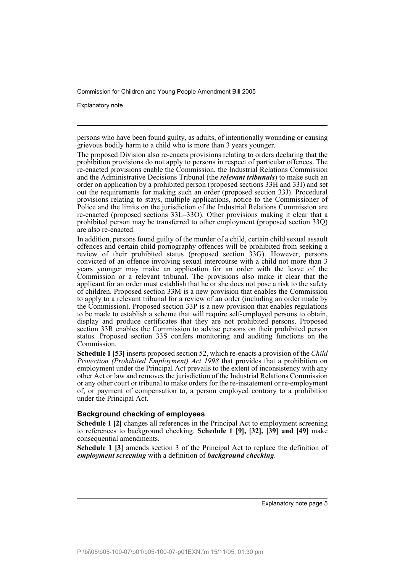Explanatory note

persons who have been found guilty, as adults, of intentionally wounding or causing grievous bodily harm to a child who is more than 3 years younger.

The proposed Division also re-enacts provisions relating to orders declaring that the prohibition provisions do not apply to persons in respect of particular offences. The re-enacted provisions enable the Commission, the Industrial Relations Commission and the Administrative Decisions Tribunal (the *relevant tribunals*) to make such an order on application by a prohibited person (proposed sections 33H and 33I) and set out the requirements for making such an order (proposed section 33J). Procedural provisions relating to stays, multiple applications, notice to the Commissioner of Police and the limits on the jurisdiction of the Industrial Relations Commission are re-enacted (proposed sections 33L–33O). Other provisions making it clear that a prohibited person may be transferred to other employment (proposed section 33Q) are also re-enacted.

In addition, persons found guilty of the murder of a child, certain child sexual assault offences and certain child pornography offences will be prohibited from seeking a review of their prohibited status (proposed section 33G). However, persons convicted of an offence involving sexual intercourse with a child not more than 3 years younger may make an application for an order with the leave of the Commission or a relevant tribunal. The provisions also make it clear that the applicant for an order must establish that he or she does not pose a risk to the safety of children. Proposed section 33M is a new provision that enables the Commission to apply to a relevant tribunal for a review of an order (including an order made by the Commission). Proposed section 33P is a new provision that enables regulations to be made to establish a scheme that will require self-employed persons to obtain, display and produce certificates that they are not prohibited persons. Proposed section 33R enables the Commission to advise persons on their prohibited person status. Proposed section 33S confers monitoring and auditing functions on the Commission.

**Schedule 1 [53]** inserts proposed section 52, which re-enacts a provision of the *Child Protection (Prohibited Employment) Act 1998* that provides that a prohibition on employment under the Principal Act prevails to the extent of inconsistency with any other Act or law and removes the jurisdiction of the Industrial Relations Commission or any other court or tribunal to make orders for the re-instatement or re-employment of, or payment of compensation to, a person employed contrary to a prohibition under the Principal Act.

## **Background checking of employees**

**Schedule 1 [2]** changes all references in the Principal Act to employment screening to references to background checking. **Schedule 1 [9], [32], [39] and [49]** make consequential amendments.

**Schedule 1 [3]** amends section 3 of the Principal Act to replace the definition of *employment screening* with a definition of *background checking*.

Explanatory note page 5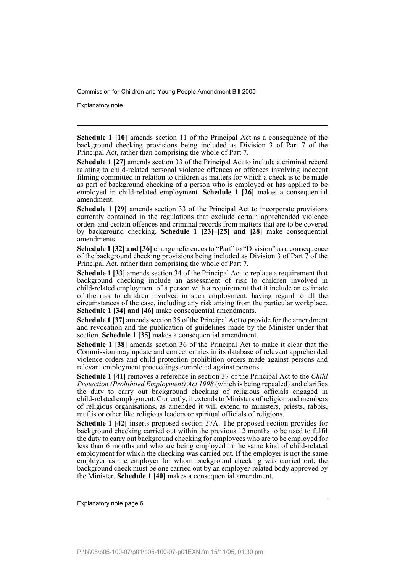Explanatory note

**Schedule 1 [10]** amends section 11 of the Principal Act as a consequence of the background checking provisions being included as Division 3 of Part 7 of the Principal Act, rather than comprising the whole of Part 7.

**Schedule 1 [27]** amends section 33 of the Principal Act to include a criminal record relating to child-related personal violence offences or offences involving indecent filming committed in relation to children as matters for which a check is to be made as part of background checking of a person who is employed or has applied to be employed in child-related employment. **Schedule 1 [26]** makes a consequential amendment.

**Schedule 1 [29]** amends section 33 of the Principal Act to incorporate provisions currently contained in the regulations that exclude certain apprehended violence orders and certain offences and criminal records from matters that are to be covered by background checking. **Schedule 1 [23]–[25] and [28]** make consequential amendments.

**Schedule 1 [32] and [36]** change references to "Part" to "Division" as a consequence of the background checking provisions being included as Division 3 of Part 7 of the Principal Act, rather than comprising the whole of Part 7.

**Schedule 1 [33]** amends section 34 of the Principal Act to replace a requirement that background checking include an assessment of risk to children involved in child-related employment of a person with a requirement that it include an estimate of the risk to children involved in such employment, having regard to all the circumstances of the case, including any risk arising from the particular workplace. **Schedule 1 [34] and [46]** make consequential amendments.

**Schedule 1 [37]** amends section 35 of the Principal Act to provide for the amendment and revocation and the publication of guidelines made by the Minister under that section. **Schedule 1 [35]** makes a consequential amendment.

**Schedule 1 [38]** amends section 36 of the Principal Act to make it clear that the Commission may update and correct entries in its database of relevant apprehended violence orders and child protection prohibition orders made against persons and relevant employment proceedings completed against persons.

**Schedule 1 [41]** removes a reference in section 37 of the Principal Act to the *Child Protection (Prohibited Employment) Act 1998* (which is being repealed) and clarifies the duty to carry out background checking of religious officials engaged in child-related employment. Currently, it extends to Ministers of religion and members of religious organisations, as amended it will extend to ministers, priests, rabbis, muftis or other like religious leaders or spiritual officials of religions.

**Schedule 1 [42]** inserts proposed section 37A. The proposed section provides for background checking carried out within the previous 12 months to be used to fulfil the duty to carry out background checking for employees who are to be employed for less than 6 months and who are being employed in the same kind of child-related employment for which the checking was carried out. If the employer is not the same employer as the employer for whom background checking was carried out, the background check must be one carried out by an employer-related body approved by the Minister. **Schedule 1 [40]** makes a consequential amendment.

Explanatory note page 6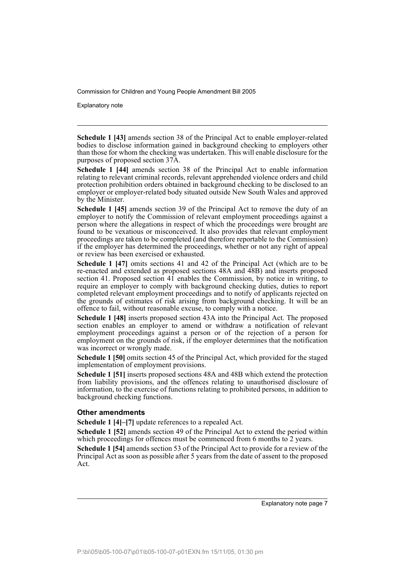Explanatory note

**Schedule 1 [43]** amends section 38 of the Principal Act to enable employer-related bodies to disclose information gained in background checking to employers other than those for whom the checking was undertaken. This will enable disclosure for the purposes of proposed section 37A.

**Schedule 1 [44]** amends section 38 of the Principal Act to enable information relating to relevant criminal records, relevant apprehended violence orders and child protection prohibition orders obtained in background checking to be disclosed to an employer or employer-related body situated outside New South Wales and approved by the Minister.

**Schedule 1 [45]** amends section 39 of the Principal Act to remove the duty of an employer to notify the Commission of relevant employment proceedings against a person where the allegations in respect of which the proceedings were brought are found to be vexatious or misconceived. It also provides that relevant employment proceedings are taken to be completed (and therefore reportable to the Commission) if the employer has determined the proceedings, whether or not any right of appeal or review has been exercised or exhausted.

**Schedule 1 [47]** omits sections 41 and 42 of the Principal Act (which are to be re-enacted and extended as proposed sections 48A and 48B) and inserts proposed section 41. Proposed section 41 enables the Commission, by notice in writing, to require an employer to comply with background checking duties, duties to report completed relevant employment proceedings and to notify of applicants rejected on the grounds of estimates of risk arising from background checking. It will be an offence to fail, without reasonable excuse, to comply with a notice.

**Schedule 1 [48]** inserts proposed section 43A into the Principal Act. The proposed section enables an employer to amend or withdraw a notification of relevant employment proceedings against a person or of the rejection of a person for employment on the grounds of risk, if the employer determines that the notification was incorrect or wrongly made.

**Schedule 1 [50]** omits section 45 of the Principal Act, which provided for the staged implementation of employment provisions.

**Schedule 1 [51]** inserts proposed sections 48A and 48B which extend the protection from liability provisions, and the offences relating to unauthorised disclosure of information, to the exercise of functions relating to prohibited persons, in addition to background checking functions.

## **Other amendments**

**Schedule 1 [4]–[7]** update references to a repealed Act.

**Schedule 1 [52]** amends section 49 of the Principal Act to extend the period within which proceedings for offences must be commenced from 6 months to 2 years.

**Schedule 1 [54]** amends section 53 of the Principal Act to provide for a review of the Principal Act as soon as possible after 5 years from the date of assent to the proposed Act.

Explanatory note page 7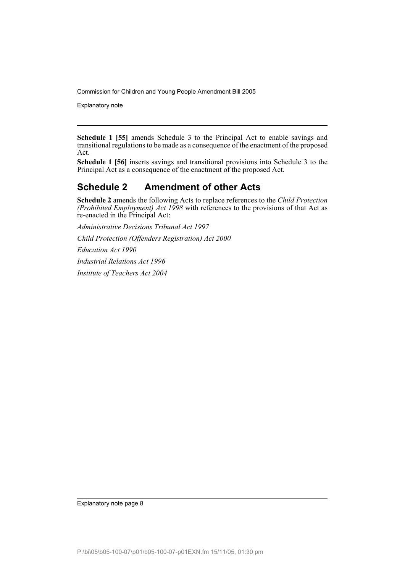Explanatory note

**Schedule 1 [55]** amends Schedule 3 to the Principal Act to enable savings and transitional regulations to be made as a consequence of the enactment of the proposed Act.

**Schedule 1 [56]** inserts savings and transitional provisions into Schedule 3 to the Principal Act as a consequence of the enactment of the proposed Act.

## **Schedule 2 Amendment of other Acts**

**Schedule 2** amends the following Acts to replace references to the *Child Protection (Prohibited Employment) Act 1998* with references to the provisions of that Act as re-enacted in the Principal Act:

*Administrative Decisions Tribunal Act 1997*

*Child Protection (Offenders Registration) Act 2000*

*Education Act 1990*

*Industrial Relations Act 1996*

*Institute of Teachers Act 2004*

Explanatory note page 8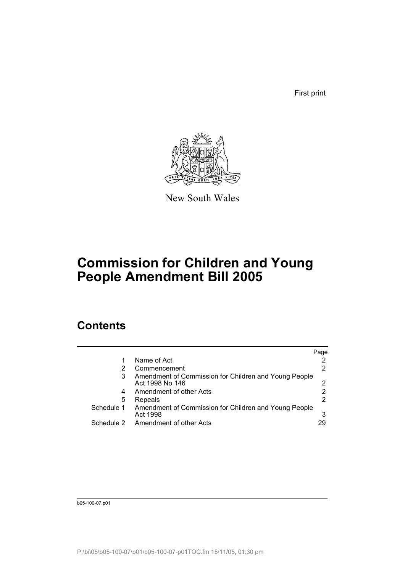First print



New South Wales

# **Commission for Children and Young People Amendment Bill 2005**

## **Contents**

|            |                                                                          | Page |
|------------|--------------------------------------------------------------------------|------|
|            | Name of Act                                                              |      |
|            | Commencement                                                             |      |
| 3          | Amendment of Commission for Children and Young People<br>Act 1998 No 146 |      |
| 4          | Amendment of other Acts                                                  |      |
| 5          | Repeals                                                                  |      |
| Schedule 1 | Amendment of Commission for Children and Young People<br>Act 1998        | 3    |
| Schedule 2 | <b>Amendment of other Acts</b>                                           | 29   |

b05-100-07.p01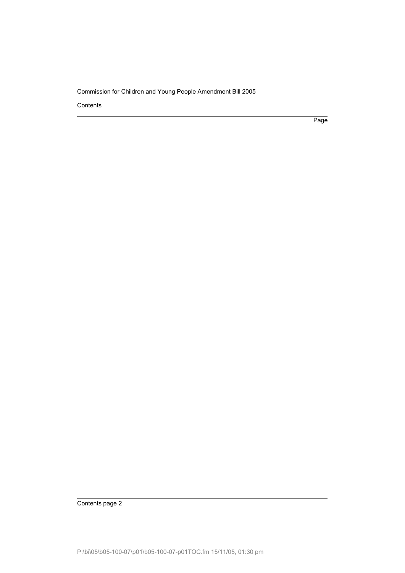Contents

Page

Contents page 2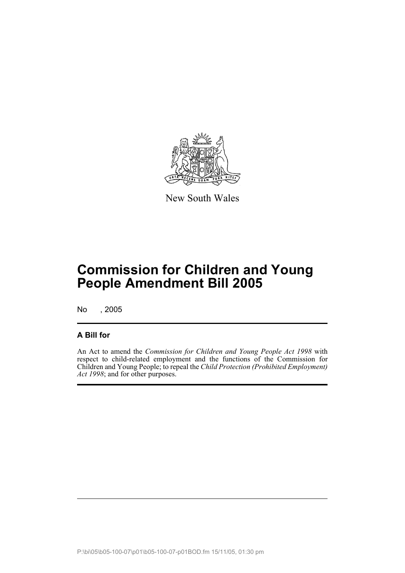

New South Wales

# **Commission for Children and Young People Amendment Bill 2005**

No , 2005

## **A Bill for**

An Act to amend the *Commission for Children and Young People Act 1998* with respect to child-related employment and the functions of the Commission for Children and Young People; to repeal the *Child Protection (Prohibited Employment) Act 1998*; and for other purposes.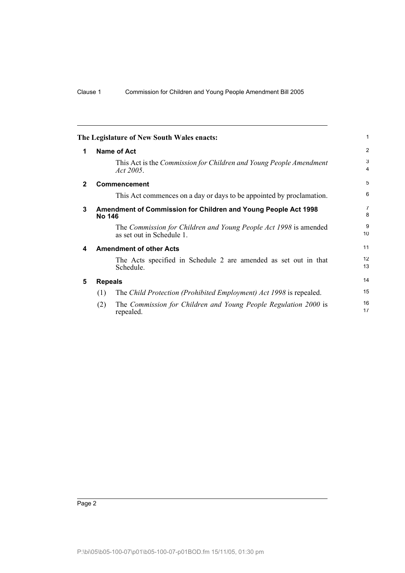<span id="page-11-4"></span><span id="page-11-3"></span><span id="page-11-2"></span><span id="page-11-1"></span><span id="page-11-0"></span>

| The Legislature of New South Wales enacts:                                           | 1                   |
|--------------------------------------------------------------------------------------|---------------------|
| <b>Name of Act</b><br>1                                                              | $\overline{2}$      |
|                                                                                      | 3<br>$\overline{4}$ |
| $\mathbf{2}$<br><b>Commencement</b>                                                  | 5                   |
|                                                                                      | 6                   |
| 3<br>Amendment of Commission for Children and Young People Act 1998<br><b>No 146</b> | $\overline{7}$<br>8 |
|                                                                                      | 9<br>10             |
| <b>Amendment of other Acts</b><br>4                                                  | 11                  |
|                                                                                      | 12<br>13            |
| 5<br><b>Repeals</b>                                                                  | 14                  |
| (1)                                                                                  | 15                  |
| (2)                                                                                  | 16<br>17            |
|                                                                                      |                     |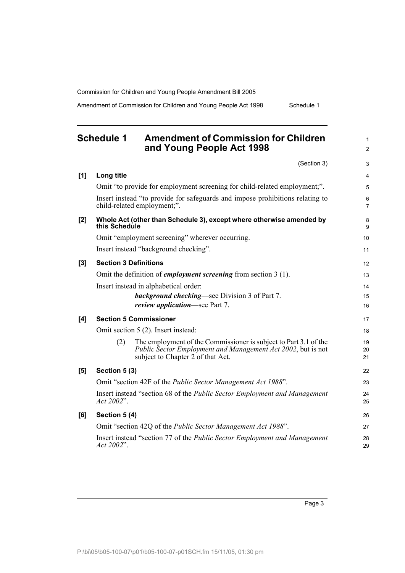Amendment of Commission for Children and Young People Act 1998 Schedule 1

<span id="page-12-0"></span>

|     | <b>Schedule 1</b>            | <b>Amendment of Commission for Children</b><br>and Young People Act 1998                                                                                              | 1<br>$\overline{2}$ |
|-----|------------------------------|-----------------------------------------------------------------------------------------------------------------------------------------------------------------------|---------------------|
|     |                              | (Section 3)                                                                                                                                                           | 3                   |
| [1] | Long title                   |                                                                                                                                                                       | 4                   |
|     |                              | Omit "to provide for employment screening for child-related employment;".                                                                                             | 5                   |
|     |                              | Insert instead "to provide for safeguards and impose prohibitions relating to<br>child-related employment;".                                                          | 6<br>7              |
| [2] | this Schedule                | Whole Act (other than Schedule 3), except where otherwise amended by                                                                                                  | 8<br>9              |
|     |                              | Omit "employment screening" wherever occurring.                                                                                                                       | 10                  |
|     |                              | Insert instead "background checking".                                                                                                                                 | 11                  |
| [3] | <b>Section 3 Definitions</b> |                                                                                                                                                                       | 12                  |
|     |                              | Omit the definition of <i>employment screening</i> from section 3 (1).                                                                                                | 13                  |
|     |                              | Insert instead in alphabetical order:                                                                                                                                 | 14                  |
|     |                              | <b>background checking—see Division 3 of Part 7.</b>                                                                                                                  | 15                  |
|     |                              | <i>review application</i> —see Part 7.                                                                                                                                | 16                  |
| [4] |                              | <b>Section 5 Commissioner</b>                                                                                                                                         | 17                  |
|     |                              | Omit section 5 (2). Insert instead:                                                                                                                                   | 18                  |
|     | (2)                          | The employment of the Commissioner is subject to Part 3.1 of the<br>Public Sector Employment and Management Act 2002, but is not<br>subject to Chapter 2 of that Act. | 19<br>20<br>21      |
| [5] | Section 5 (3)                |                                                                                                                                                                       | 22                  |
|     |                              | Omit "section 42F of the Public Sector Management Act 1988".                                                                                                          | 23                  |
|     | Act 2002".                   | Insert instead "section 68 of the Public Sector Employment and Management                                                                                             | 24<br>25            |
| [6] | Section 5 (4)                |                                                                                                                                                                       | 26                  |
|     |                              | Omit "section 42Q of the <i>Public Sector Management Act 1988"</i> .                                                                                                  | 27                  |
|     | Act 2002".                   | Insert instead "section 77 of the Public Sector Employment and Management                                                                                             | 28<br>29            |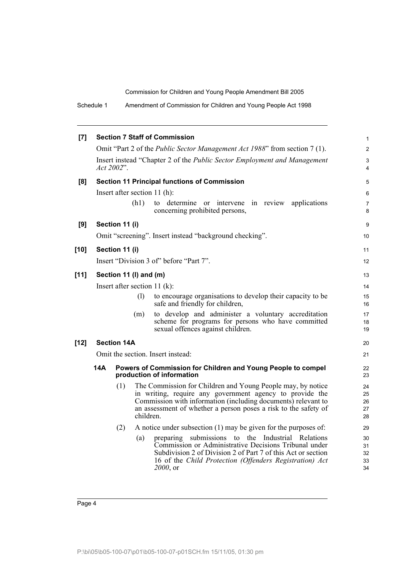Schedule 1 Amendment of Commission for Children and Young People Act 1998

|        |                                 |                        |           | <b>Section 7 Staff of Commission</b>                                                                                             |                     |  |
|--------|---------------------------------|------------------------|-----------|----------------------------------------------------------------------------------------------------------------------------------|---------------------|--|
| [7]    |                                 |                        |           |                                                                                                                                  | $\mathbf{1}$        |  |
|        |                                 |                        |           | Omit "Part 2 of the <i>Public Sector Management Act 1988</i> " from section 7 (1).                                               | $\overline{2}$      |  |
|        |                                 | Act 2002".             |           | Insert instead "Chapter 2 of the Public Sector Employment and Management                                                         | 3<br>4              |  |
| [8]    |                                 |                        |           | <b>Section 11 Principal functions of Commission</b>                                                                              | 5                   |  |
|        |                                 |                        |           | Insert after section $11(h)$ :                                                                                                   | 6                   |  |
|        |                                 |                        | (h1)      | to determine or intervene in review applications<br>concerning prohibited persons,                                               | $\overline{7}$<br>8 |  |
| [9]    |                                 | Section 11 (i)         |           |                                                                                                                                  | 9                   |  |
|        |                                 |                        |           | Omit "screening". Insert instead "background checking".                                                                          | 10                  |  |
| $[10]$ |                                 | Section 11 (i)         |           |                                                                                                                                  | 11                  |  |
|        |                                 |                        |           | Insert "Division 3 of" before "Part 7".                                                                                          | 12                  |  |
| [11]   |                                 | Section 11 (I) and (m) |           |                                                                                                                                  | 13                  |  |
|        | Insert after section 11 $(k)$ : |                        |           |                                                                                                                                  |                     |  |
|        |                                 |                        | (1)       | to encourage organisations to develop their capacity to be                                                                       | 15                  |  |
|        |                                 |                        |           | safe and friendly for children,                                                                                                  | 16                  |  |
|        |                                 |                        | (m)       | to develop and administer a voluntary accreditation<br>scheme for programs for persons who have committed                        | 17<br>18            |  |
|        |                                 |                        |           | sexual offences against children.                                                                                                | 19                  |  |
| $[12]$ |                                 | <b>Section 14A</b>     |           |                                                                                                                                  | 20                  |  |
|        |                                 |                        |           | Omit the section. Insert instead:                                                                                                | 21                  |  |
|        | 14A                             |                        |           | Powers of Commission for Children and Young People to compel<br>production of information                                        | 22<br>23            |  |
|        |                                 | (1)                    |           | The Commission for Children and Young People may, by notice                                                                      | 24                  |  |
|        |                                 |                        |           | in writing, require any government agency to provide the                                                                         | 25                  |  |
|        |                                 |                        |           | Commission with information (including documents) relevant to<br>an assessment of whether a person poses a risk to the safety of | 26<br>27            |  |
|        |                                 |                        | children. |                                                                                                                                  | 28                  |  |
|        |                                 | (2)                    |           | A notice under subsection $(1)$ may be given for the purposes of:                                                                | 29                  |  |
|        |                                 |                        | (a)       | submissions to the Industrial Relations<br>preparing                                                                             | 30                  |  |
|        |                                 |                        |           | Commission or Administrative Decisions Tribunal under                                                                            | 31                  |  |
|        |                                 |                        |           | Subdivision 2 of Division 2 of Part 7 of this Act or section<br>16 of the Child Protection (Offenders Registration) Act          | 32<br>33            |  |
|        |                                 |                        |           | 2000, or                                                                                                                         | 34                  |  |
|        |                                 |                        |           |                                                                                                                                  |                     |  |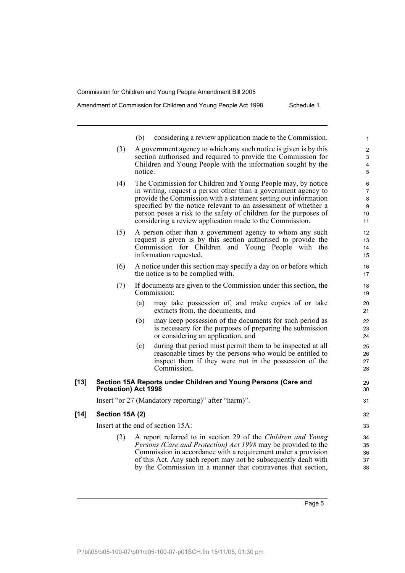Amendment of Commission for Children and Young People Act 1998 Schedule 1

|        |                      | (b)<br>considering a review application made to the Commission.                                                                                                                                                                                                                                                                                                                                     | 1                                         |
|--------|----------------------|-----------------------------------------------------------------------------------------------------------------------------------------------------------------------------------------------------------------------------------------------------------------------------------------------------------------------------------------------------------------------------------------------------|-------------------------------------------|
|        | (3)                  | A government agency to which any such notice is given is by this<br>section authorised and required to provide the Commission for<br>Children and Young People with the information sought by the<br>notice.                                                                                                                                                                                        | $\overline{c}$<br>3<br>4<br>$\mathbf 5$   |
|        | (4)                  | The Commission for Children and Young People may, by notice<br>in writing, request a person other than a government agency to<br>provide the Commission with a statement setting out information<br>specified by the notice relevant to an assessment of whether a<br>person poses a risk to the safety of children for the purposes of<br>considering a review application made to the Commission. | 6<br>$\overline{7}$<br>8<br>9<br>10<br>11 |
|        | (5)                  | A person other than a government agency to whom any such<br>request is given is by this section authorised to provide the<br>Commission for Children and Young People with the<br>information requested.                                                                                                                                                                                            | 12<br>13<br>14<br>15                      |
|        | (6)                  | A notice under this section may specify a day on or before which<br>the notice is to be complied with.                                                                                                                                                                                                                                                                                              | 16<br>17                                  |
|        | (7)                  | If documents are given to the Commission under this section, the<br>Commission:                                                                                                                                                                                                                                                                                                                     | 18<br>19                                  |
|        |                      | (a)<br>may take possession of, and make copies of or take<br>extracts from, the documents, and                                                                                                                                                                                                                                                                                                      | 20<br>21                                  |
|        |                      | (b)<br>may keep possession of the documents for such period as<br>is necessary for the purposes of preparing the submission<br>or considering an application, and                                                                                                                                                                                                                                   | 22<br>23<br>24                            |
|        |                      | during that period must permit them to be inspected at all<br>(c)<br>reasonable times by the persons who would be entitled to<br>inspect them if they were not in the possession of the<br>Commission.                                                                                                                                                                                              | 25<br>26<br>27<br>28                      |
| $[13]$ | Protection) Act 1998 | Section 15A Reports under Children and Young Persons (Care and                                                                                                                                                                                                                                                                                                                                      | 29<br>30                                  |
|        |                      | Insert "or 27 (Mandatory reporting)" after "harm)".                                                                                                                                                                                                                                                                                                                                                 | 31                                        |
| $[14]$ | Section 15A (2)      |                                                                                                                                                                                                                                                                                                                                                                                                     | 32                                        |
|        |                      | Insert at the end of section 15A:                                                                                                                                                                                                                                                                                                                                                                   | 33                                        |
|        | (2)                  | A report referred to in section 29 of the Children and Young<br><i>Persons (Care and Protection) Act 1998</i> may be provided to the<br>Commission in accordance with a requirement under a provision<br>of this Act. Any such report may not be subsequently dealt with                                                                                                                            | 34<br>35<br>36<br>37                      |

by the Commission in a manner that contravenes that section,

Page 5

37 38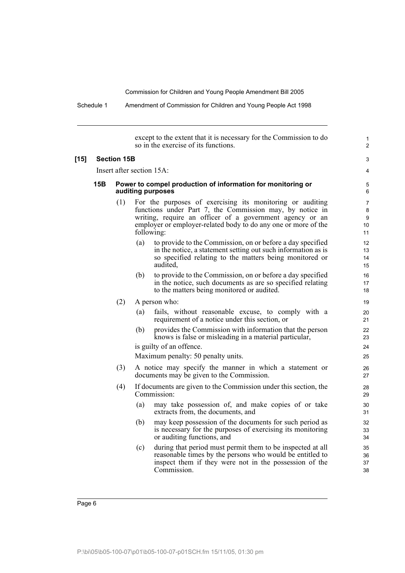Schedule 1 Amendment of Commission for Children and Young People Act 1998

except to the extent that it is necessary for the Commission to do so in the exercise of its functions. **[15] Section 15B** Insert after section 15A: **15B Power to compel production of information for monitoring or auditing purposes** (1) For the purposes of exercising its monitoring or auditing functions under Part 7, the Commission may, by notice in writing, require an officer of a government agency or an employer or employer-related body to do any one or more of the following: (a) to provide to the Commission, on or before a day specified in the notice, a statement setting out such information as is so specified relating to the matters being monitored or audited, (b) to provide to the Commission, on or before a day specified in the notice, such documents as are so specified relating to the matters being monitored or audited. (2) A person who: (a) fails, without reasonable excuse, to comply with a requirement of a notice under this section, or (b) provides the Commission with information that the person knows is false or misleading in a material particular, is guilty of an offence. Maximum penalty: 50 penalty units. (3) A notice may specify the manner in which a statement or documents may be given to the Commission. (4) If documents are given to the Commission under this section, the Commission: (a) may take possession of, and make copies of or take extracts from, the documents, and (b) may keep possession of the documents for such period as is necessary for the purposes of exercising its monitoring or auditing functions, and (c) during that period must permit them to be inspected at all reasonable times by the persons who would be entitled to inspect them if they were not in the possession of the Commission. 1  $\overline{2}$ 3 4 5 6 7 8 9 10 11 12 13 14 15 16 17 18 19  $20$ 21 22 23 24 25 26 27 28 29 30 31 32 33 34 35 36 37 38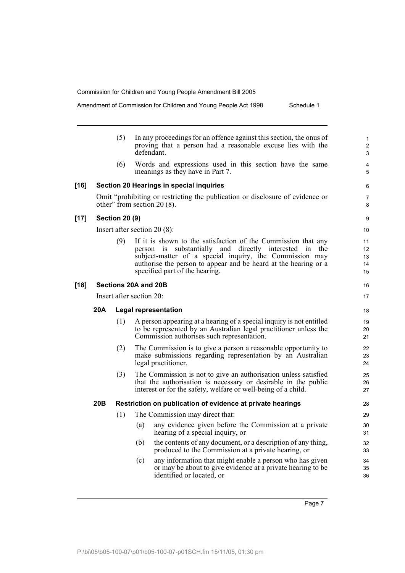Amendment of Commission for Children and Young People Act 1998 Schedule 1

|        |                          | (5)                   | In any proceedings for an offence against this section, the onus of<br>proving that a person had a reasonable excuse lies with the<br>defendant.                                                                                                                                                 | 1<br>$\overline{2}$<br>3   |  |  |
|--------|--------------------------|-----------------------|--------------------------------------------------------------------------------------------------------------------------------------------------------------------------------------------------------------------------------------------------------------------------------------------------|----------------------------|--|--|
|        |                          | (6)                   | Words and expressions used in this section have the same<br>meanings as they have in Part 7.                                                                                                                                                                                                     | 4<br>5                     |  |  |
| $[16]$ |                          |                       | <b>Section 20 Hearings in special inquiries</b>                                                                                                                                                                                                                                                  | 6                          |  |  |
|        |                          |                       | Omit "prohibiting or restricting the publication or disclosure of evidence or<br>other" from section $20(8)$ .                                                                                                                                                                                   | 7<br>8                     |  |  |
| $[17]$ |                          | <b>Section 20 (9)</b> |                                                                                                                                                                                                                                                                                                  | 9                          |  |  |
|        |                          |                       | Insert after section $20(8)$ :                                                                                                                                                                                                                                                                   | 10                         |  |  |
|        |                          | (9)                   | If it is shown to the satisfaction of the Commission that any<br>substantially and directly interested<br>person is<br>1n<br>the<br>subject-matter of a special inquiry, the Commission may<br>authorise the person to appear and be heard at the hearing or a<br>specified part of the hearing. | 11<br>12<br>13<br>14<br>15 |  |  |
| $[18]$ | Sections 20A and 20B     |                       |                                                                                                                                                                                                                                                                                                  |                            |  |  |
|        | Insert after section 20: |                       |                                                                                                                                                                                                                                                                                                  |                            |  |  |
|        | 20A                      |                       | <b>Legal representation</b>                                                                                                                                                                                                                                                                      | 18                         |  |  |
|        |                          | (1)                   | A person appearing at a hearing of a special inquiry is not entitled<br>to be represented by an Australian legal practitioner unless the<br>Commission authorises such representation.                                                                                                           | 19<br>20<br>21             |  |  |
|        |                          | (2)                   | The Commission is to give a person a reasonable opportunity to<br>make submissions regarding representation by an Australian<br>legal practitioner.                                                                                                                                              | 22<br>23<br>24             |  |  |
|        |                          | (3)                   | The Commission is not to give an authorisation unless satisfied<br>that the authorisation is necessary or desirable in the public<br>interest or for the safety, welfare or well-being of a child.                                                                                               | 25<br>26<br>27             |  |  |
|        | 20B                      |                       | Restriction on publication of evidence at private hearings                                                                                                                                                                                                                                       | 28                         |  |  |
|        |                          | (1)                   | The Commission may direct that:                                                                                                                                                                                                                                                                  | 29                         |  |  |
|        |                          |                       | any evidence given before the Commission at a private<br>$\left( a\right)$<br>hearing of a special inquiry, or                                                                                                                                                                                   | 30<br>31                   |  |  |
|        |                          |                       | the contents of any document, or a description of any thing,<br>(b)<br>produced to the Commission at a private hearing, or                                                                                                                                                                       | 32<br>33                   |  |  |
|        |                          |                       | any information that might enable a person who has given<br>(c)<br>or may be about to give evidence at a private hearing to be<br>identified or located, or                                                                                                                                      | 34<br>35<br>36             |  |  |

Page 7

6 7 8

18 19 20

32 33 34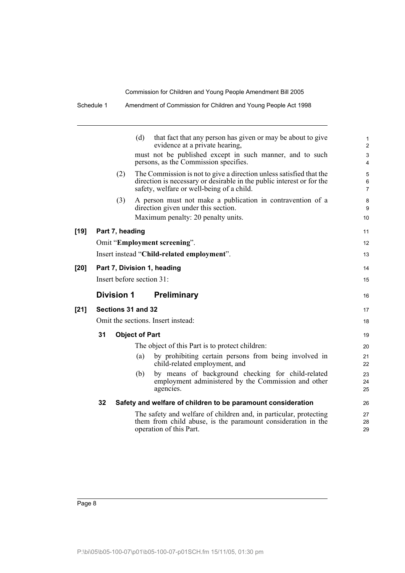|        | Schedule 1                         |                    |                       | Amendment of Commission for Children and Young People Act 1998                                                                                                                            |                          |
|--------|------------------------------------|--------------------|-----------------------|-------------------------------------------------------------------------------------------------------------------------------------------------------------------------------------------|--------------------------|
|        |                                    |                    | (d)                   | that fact that any person has given or may be about to give<br>evidence at a private hearing,                                                                                             | 1<br>$\overline{2}$      |
|        |                                    |                    |                       | must not be published except in such manner, and to such<br>persons, as the Commission specifies.                                                                                         | 3<br>$\overline{4}$      |
|        |                                    | (2)                |                       | The Commission is not to give a direction unless satisfied that the<br>direction is necessary or desirable in the public interest or for the<br>safety, welfare or well-being of a child. | 5<br>6<br>$\overline{7}$ |
|        |                                    | (3)                |                       | A person must not make a publication in contravention of a<br>direction given under this section.<br>Maximum penalty: 20 penalty units.                                                   | 8<br>9<br>10             |
| $[19]$ |                                    | Part 7, heading    |                       |                                                                                                                                                                                           | 11                       |
|        |                                    |                    |                       | Omit "Employment screening".                                                                                                                                                              | 12                       |
|        |                                    |                    |                       | Insert instead "Child-related employment".                                                                                                                                                | 13                       |
| [20]   |                                    |                    |                       | Part 7, Division 1, heading                                                                                                                                                               | 14                       |
|        | Insert before section 31:          |                    |                       |                                                                                                                                                                                           |                          |
|        |                                    | <b>Division 1</b>  |                       | <b>Preliminary</b>                                                                                                                                                                        | 16                       |
| [21]   |                                    | Sections 31 and 32 |                       |                                                                                                                                                                                           | 17                       |
|        | Omit the sections. Insert instead: |                    |                       |                                                                                                                                                                                           |                          |
|        | 31                                 |                    | <b>Object of Part</b> |                                                                                                                                                                                           | 19                       |
|        |                                    |                    |                       | The object of this Part is to protect children:                                                                                                                                           | 20                       |
|        |                                    |                    | (a)                   | by prohibiting certain persons from being involved in<br>child-related employment, and                                                                                                    | 21<br>22                 |
|        |                                    |                    | (b)                   | by means of background checking for child-related<br>employment administered by the Commission and other<br>agencies.                                                                     | 23<br>24<br>25           |
|        | 32                                 |                    |                       | Safety and welfare of children to be paramount consideration                                                                                                                              | 26                       |
|        |                                    |                    |                       | The safety and welfare of children and, in particular, protecting<br>them from child abuse, is the paramount consideration in the<br>operation of this Part.                              | 27<br>28<br>29           |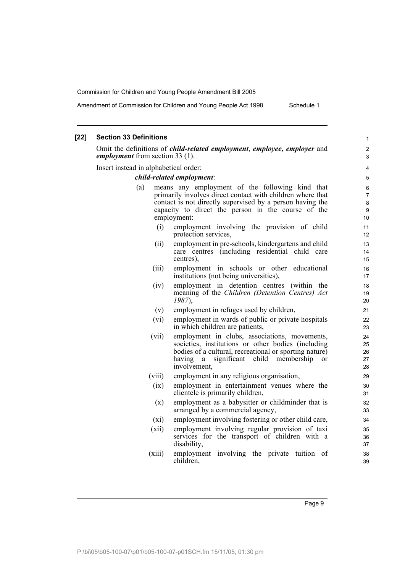Amendment of Commission for Children and Young People Act 1998 Schedule 1

### **[22] Section 33 Definitions** Omit the definitions of *child-related employment*, *employee, employer* and *employment* from section 33 (1). Insert instead in alphabetical order: *child-related employment*: (a) means any employment of the following kind that primarily involves direct contact with children where that contact is not directly supervised by a person having the capacity to direct the person in the course of the employment: (i) employment involving the provision of child protection services, (ii) employment in pre-schools, kindergartens and child care centres (including residential child care centres), (iii) employment in schools or other educational institutions (not being universities), (iv) employment in detention centres (within the meaning of the *Children (Detention Centres) Act 1987*), (v) employment in refuges used by children, (vi) employment in wards of public or private hospitals in which children are patients, (vii) employment in clubs, associations, movements, societies, institutions or other bodies (including bodies of a cultural, recreational or sporting nature) having a significant child membership or involvement, (viii) employment in any religious organisation, (ix) employment in entertainment venues where the clientele is primarily children, (x) employment as a babysitter or childminder that is arranged by a commercial agency, (xi) employment involving fostering or other child care, (xii) employment involving regular provision of taxi services for the transport of children with a disability, (xiii) employment involving the private tuition of children, 1 2 3 4 5 6 7 8 9 10 11 12 13 14 15 16 17 18 19  $20$ 21  $22$ 23 24 25 26 27 28 29 30 31 32 33 34 35 36 37 38 39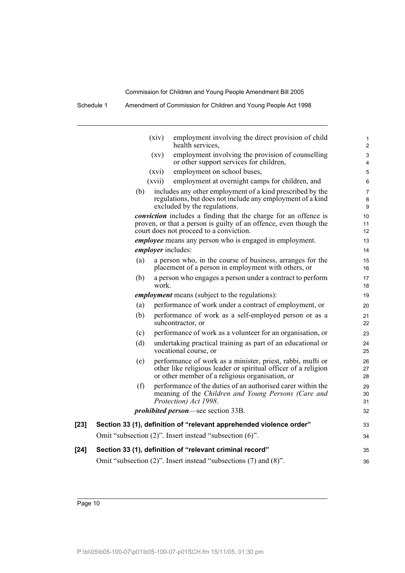Schedule 1 Amendment of Commission for Children and Young People Act 1998

|        |     | (xiv)              | employment involving the direct provision of child<br>health services,                                                                                                          | 1<br>$\overline{2}$ |
|--------|-----|--------------------|---------------------------------------------------------------------------------------------------------------------------------------------------------------------------------|---------------------|
|        |     | $\left( xy\right)$ | employment involving the provision of counselling<br>or other support services for children,                                                                                    | 3<br>4              |
|        |     | (xvi)              | employment on school buses,                                                                                                                                                     | 5                   |
|        |     | (xvii)             | employment at overnight camps for children, and                                                                                                                                 | 6                   |
|        | (b) |                    | includes any other employment of a kind prescribed by the<br>regulations, but does not include any employment of a kind<br>excluded by the regulations.                         | 7<br>8<br>9         |
|        |     |                    | conviction includes a finding that the charge for an offence is<br>proven, or that a person is guilty of an offence, even though the<br>court does not proceed to a conviction. | 10<br>11<br>12      |
|        |     |                    | <i>employee</i> means any person who is engaged in employment.                                                                                                                  | 13                  |
|        |     |                    | <i>employer</i> includes:                                                                                                                                                       | 14                  |
|        | (a) |                    | a person who, in the course of business, arranges for the<br>placement of a person in employment with others, or                                                                | 15<br>16            |
|        | (b) | work.              | a person who engages a person under a contract to perform                                                                                                                       | 17<br>18            |
|        |     |                    | <i>employment</i> means (subject to the regulations):                                                                                                                           | 19                  |
|        | (a) |                    | performance of work under a contract of employment, or                                                                                                                          | 20                  |
|        | (b) |                    | performance of work as a self-employed person or as a<br>subcontractor, or                                                                                                      | 21<br>22            |
|        | (c) |                    | performance of work as a volunteer for an organisation, or                                                                                                                      | 23                  |
|        | (d) |                    | undertaking practical training as part of an educational or<br>vocational course, or                                                                                            | 24<br>25            |
|        | (e) |                    | performance of work as a minister, priest, rabbi, mufti or<br>other like religious leader or spiritual officer of a religion<br>or other member of a religious organisation, or | 26<br>27<br>28      |
|        | (f) |                    | performance of the duties of an authorised carer within the<br>meaning of the Children and Young Persons (Care and<br>Protection) Act 1998.                                     | 29<br>30<br>31      |
|        |     |                    | <i>prohibited person</i> —see section 33B.                                                                                                                                      | 32                  |
| $[23]$ |     |                    | Section 33 (1), definition of "relevant apprehended violence order"                                                                                                             | 33                  |
|        |     |                    | Omit "subsection (2)". Insert instead "subsection (6)".                                                                                                                         | 34                  |
| [24]   |     |                    | Section 33 (1), definition of "relevant criminal record"                                                                                                                        | 35                  |
|        |     |                    | Omit "subsection (2)". Insert instead "subsections (7) and (8)".                                                                                                                | 36                  |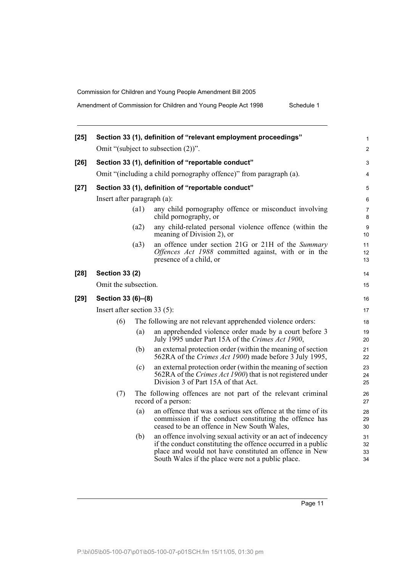Amendment of Commission for Children and Young People Act 1998 Schedule 1

| $[25]$ |                                |      | Section 33 (1), definition of "relevant employment proceedings"                                                                                                                                                                            | 1                    |
|--------|--------------------------------|------|--------------------------------------------------------------------------------------------------------------------------------------------------------------------------------------------------------------------------------------------|----------------------|
|        |                                |      | Omit "(subject to subsection $(2)$ )".                                                                                                                                                                                                     | $\overline{c}$       |
| $[26]$ |                                |      | Section 33 (1), definition of "reportable conduct"                                                                                                                                                                                         | 3                    |
|        |                                |      | Omit "(including a child pornography offence)" from paragraph (a).                                                                                                                                                                         | 4                    |
| $[27]$ |                                |      | Section 33 (1), definition of "reportable conduct"                                                                                                                                                                                         | 5                    |
|        | Insert after paragraph (a):    |      |                                                                                                                                                                                                                                            | 6                    |
|        |                                | (a1) | any child pornography offence or misconduct involving<br>child pornography, or                                                                                                                                                             | 7<br>8               |
|        |                                | (a2) | any child-related personal violence offence (within the<br>meaning of Division 2), or                                                                                                                                                      | 9<br>10              |
|        |                                | (a3) | an offence under section 21G or 21H of the Summary<br>Offences Act 1988 committed against, with or in the<br>presence of a child, or                                                                                                       | 11<br>12<br>13       |
| $[28]$ | <b>Section 33 (2)</b>          |      |                                                                                                                                                                                                                                            | 14                   |
|        | Omit the subsection.           |      |                                                                                                                                                                                                                                            | 15                   |
| [29]   | Section 33 (6)-(8)             |      |                                                                                                                                                                                                                                            | 16                   |
|        | Insert after section $33(5)$ : |      |                                                                                                                                                                                                                                            | 17                   |
|        | (6)                            |      | The following are not relevant apprehended violence orders:                                                                                                                                                                                | 18                   |
|        |                                | (a)  | an apprehended violence order made by a court before 3<br>July 1995 under Part 15A of the Crimes Act 1900,                                                                                                                                 | 19<br>20             |
|        |                                | (b)  | an external protection order (within the meaning of section<br>562RA of the Crimes Act 1900) made before 3 July 1995,                                                                                                                      | 21<br>22             |
|        |                                | (c)  | an external protection order (within the meaning of section<br>562RA of the <i>Crimes Act 1900</i> ) that is not registered under<br>Division 3 of Part 15A of that Act.                                                                   | 23<br>24<br>25       |
|        | (7)                            |      | The following offences are not part of the relevant criminal<br>record of a person:                                                                                                                                                        | 26<br>27             |
|        |                                | (a)  | an offence that was a serious sex offence at the time of its<br>commission if the conduct constituting the offence has<br>ceased to be an offence in New South Wales,                                                                      | 28<br>29<br>30       |
|        |                                | (b)  | an offence involving sexual activity or an act of indecency<br>if the conduct constituting the offence occurred in a public<br>place and would not have constituted an offence in New<br>South Wales if the place were not a public place. | 31<br>32<br>33<br>34 |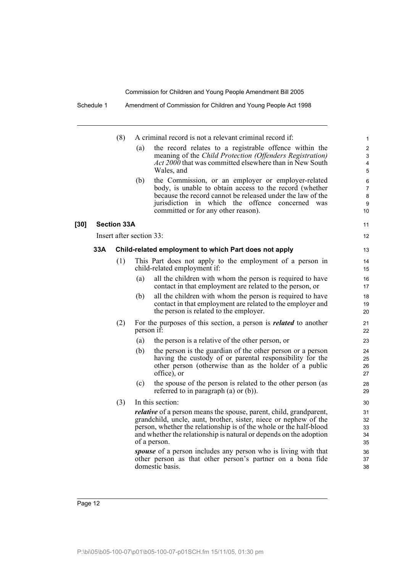|        |     | (8)                |                          | A criminal record is not a relevant criminal record if:                                                                                                           | $\mathbf{1}$        |
|--------|-----|--------------------|--------------------------|-------------------------------------------------------------------------------------------------------------------------------------------------------------------|---------------------|
|        |     |                    | (a)                      | the record relates to a registrable offence within the<br>meaning of the Child Protection (Offenders Registration)                                                | $\overline{2}$<br>3 |
|        |     |                    |                          | <i>Act 2000</i> that was committed elsewhere than in New South                                                                                                    | 4                   |
|        |     |                    |                          | Wales, and                                                                                                                                                        | 5                   |
|        |     |                    | (b)                      | the Commission, or an employer or employer-related                                                                                                                | 6                   |
|        |     |                    |                          | body, is unable to obtain access to the record (whether<br>because the record cannot be released under the law of the                                             | $\overline{7}$<br>8 |
|        |     |                    |                          | jurisdiction in which the offence concerned was                                                                                                                   | 9                   |
|        |     |                    |                          | committed or for any other reason).                                                                                                                               | 10                  |
| $[30]$ |     | <b>Section 33A</b> |                          |                                                                                                                                                                   | 11                  |
|        |     |                    | Insert after section 33: |                                                                                                                                                                   | $12 \overline{ }$   |
|        | 33A |                    |                          | Child-related employment to which Part does not apply                                                                                                             | 13                  |
|        |     | (1)                |                          | This Part does not apply to the employment of a person in<br>child-related employment if:                                                                         | 14<br>15            |
|        |     |                    | (a)                      | all the children with whom the person is required to have<br>contact in that employment are related to the person, or                                             | 16<br>17            |
|        |     |                    | (b)                      | all the children with whom the person is required to have<br>contact in that employment are related to the employer and<br>the person is related to the employer. | 18<br>19<br>20      |
|        |     | (2)                |                          | For the purposes of this section, a person is <i>related</i> to another<br>person if:                                                                             | 21<br>22            |
|        |     |                    | (a)                      | the person is a relative of the other person, or                                                                                                                  | 23                  |
|        |     |                    | (b)                      | the person is the guardian of the other person or a person                                                                                                        | 24                  |
|        |     |                    |                          | having the custody of or parental responsibility for the                                                                                                          | 25                  |
|        |     |                    |                          | other person (otherwise than as the holder of a public<br>office), or                                                                                             | 26<br>27            |
|        |     |                    | (c)                      | the spouse of the person is related to the other person (as                                                                                                       | 28                  |
|        |     |                    |                          | referred to in paragraph $(a)$ or $(b)$ ).                                                                                                                        | 29                  |
|        |     | (3)                |                          | In this section:                                                                                                                                                  | 30                  |
|        |     |                    |                          | <i>relative</i> of a person means the spouse, parent, child, grandparent,                                                                                         | 31                  |
|        |     |                    |                          | grandchild, uncle, aunt, brother, sister, niece or nephew of the                                                                                                  | 32                  |
|        |     |                    |                          | person, whether the relationship is of the whole or the half-blood<br>and whether the relationship is natural or depends on the adoption                          | 33<br>34            |
|        |     |                    |                          | of a person.                                                                                                                                                      | 35                  |
|        |     |                    |                          | <i>spouse</i> of a person includes any person who is living with that                                                                                             | 36                  |
|        |     |                    |                          | other person as that other person's partner on a bona fide                                                                                                        | 37                  |
|        |     |                    |                          | domestic basis.                                                                                                                                                   | 38                  |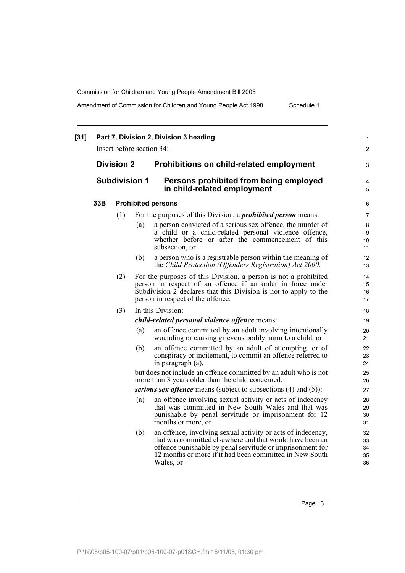Amendment of Commission for Children and Young People Act 1998 Schedule 1

|  |                                           |     | Insert before section 34: |                                                                                                                                                                                                                                                              | $\overline{2}$             |
|--|-------------------------------------------|-----|---------------------------|--------------------------------------------------------------------------------------------------------------------------------------------------------------------------------------------------------------------------------------------------------------|----------------------------|
|  | <b>Division 2</b><br><b>Subdivision 1</b> |     |                           | Prohibitions on child-related employment                                                                                                                                                                                                                     | 3                          |
|  |                                           |     |                           | Persons prohibited from being employed<br>in child-related employment                                                                                                                                                                                        |                            |
|  | 33B                                       |     |                           | <b>Prohibited persons</b>                                                                                                                                                                                                                                    | 6                          |
|  |                                           | (1) |                           | For the purposes of this Division, a <i>prohibited person</i> means:                                                                                                                                                                                         | $\overline{7}$             |
|  |                                           |     | (a)                       | a person convicted of a serious sex offence, the murder of<br>a child or a child-related personal violence offence,<br>whether before or after the commencement of this<br>subsection, or                                                                    | 8<br>9<br>10<br>11         |
|  |                                           |     | (b)                       | a person who is a registrable person within the meaning of<br>the Child Protection (Offenders Registration) Act 2000.                                                                                                                                        | 12<br>13                   |
|  |                                           | (2) |                           | For the purposes of this Division, a person is not a prohibited<br>person in respect of an offence if an order in force under<br>Subdivision 2 declares that this Division is not to apply to the<br>person in respect of the offence.                       | 14<br>15<br>16<br>17       |
|  |                                           | (3) |                           | In this Division:                                                                                                                                                                                                                                            | 18                         |
|  |                                           |     |                           | child-related personal violence offence means:                                                                                                                                                                                                               | 19                         |
|  |                                           |     | (a)                       | an offence committed by an adult involving intentionally<br>wounding or causing grievous bodily harm to a child, or                                                                                                                                          | 20<br>21                   |
|  |                                           |     | (b)                       | an offence committed by an adult of attempting, or of<br>conspiracy or incitement, to commit an offence referred to<br>in paragraph (a),                                                                                                                     | 22<br>23<br>24             |
|  |                                           |     |                           | but does not include an offence committed by an adult who is not<br>more than 3 years older than the child concerned.                                                                                                                                        | 25<br>26                   |
|  |                                           |     |                           | serious sex offence means (subject to subsections (4) and (5)):                                                                                                                                                                                              | 27                         |
|  |                                           |     | (a)                       | an offence involving sexual activity or acts of indecency<br>that was committed in New South Wales and that was<br>punishable by penal servitude or imprisonment for 12<br>months or more, or                                                                | 28<br>29<br>30<br>31       |
|  |                                           |     | (b)                       | an offence, involving sexual activity or acts of indecency,<br>that was committed elsewhere and that would have been an<br>offence punishable by penal servitude or imprisonment for<br>12 months or more if it had been committed in New South<br>Wales, or | 32<br>33<br>34<br>35<br>36 |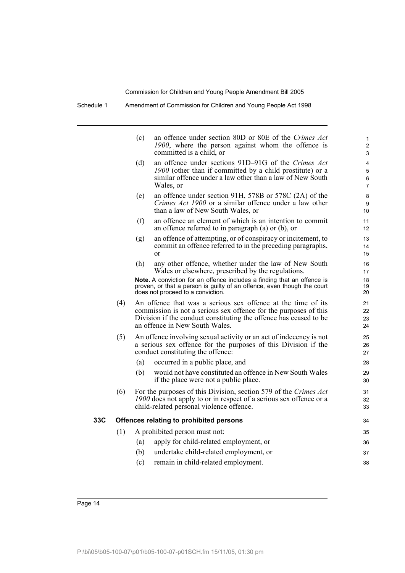|     |     | (c) | an offence under section 80D or 80E of the Crimes Act<br>1900, where the person against whom the offence is<br>committed is a child, or                                                                                                 | 1<br>$\overline{2}$<br>3                   |
|-----|-----|-----|-----------------------------------------------------------------------------------------------------------------------------------------------------------------------------------------------------------------------------------------|--------------------------------------------|
|     |     | (d) | an offence under sections 91D–91G of the Crimes Act<br>1900 (other than if committed by a child prostitute) or a<br>similar offence under a law other than a law of New South<br>Wales, or                                              | $\overline{4}$<br>5<br>6<br>$\overline{7}$ |
|     |     | (e) | an offence under section 91H, 578B or 578C (2A) of the<br>Crimes Act 1900 or a similar offence under a law other<br>than a law of New South Wales, or                                                                                   | 8<br>9<br>10                               |
|     |     | (f) | an offence an element of which is an intention to commit<br>an offence referred to in paragraph $(a)$ or $(b)$ , or                                                                                                                     | 11<br>12                                   |
|     |     | (g) | an offence of attempting, or of conspiracy or incitement, to<br>commit an offence referred to in the preceding paragraphs,<br>$\alpha$                                                                                                  | 13<br>14<br>15                             |
|     |     | (h) | any other offence, whether under the law of New South<br>Wales or elsewhere, prescribed by the regulations.                                                                                                                             | 16<br>17                                   |
|     |     |     | Note. A conviction for an offence includes a finding that an offence is<br>proven, or that a person is guilty of an offence, even though the court<br>does not proceed to a conviction.                                                 | 18<br>19<br>20                             |
|     | (4) |     | An offence that was a serious sex offence at the time of its<br>commission is not a serious sex offence for the purposes of this<br>Division if the conduct constituting the offence has ceased to be<br>an offence in New South Wales. | 21<br>22<br>23<br>24                       |
|     | (5) |     | An offence involving sexual activity or an act of indecency is not<br>a serious sex offence for the purposes of this Division if the<br>conduct constituting the offence:                                                               | 25<br>26<br>27                             |
|     |     | (a) | occurred in a public place, and                                                                                                                                                                                                         | 28                                         |
|     |     | (b) | would not have constituted an offence in New South Wales<br>if the place were not a public place.                                                                                                                                       | 29<br>30                                   |
|     | (6) |     | For the purposes of this Division, section 579 of the Crimes Act<br>1900 does not apply to or in respect of a serious sex offence or a<br>child-related personal violence offence.                                                      | 31<br>32<br>33                             |
| 33C |     |     | Offences relating to prohibited persons                                                                                                                                                                                                 | 34                                         |
|     | (1) |     | A prohibited person must not:                                                                                                                                                                                                           | 35                                         |
|     |     | (a) | apply for child-related employment, or                                                                                                                                                                                                  | 36                                         |
|     |     | (b) | undertake child-related employment, or                                                                                                                                                                                                  | 37                                         |
|     |     | (c) | remain in child-related employment.                                                                                                                                                                                                     | 38                                         |
|     |     |     |                                                                                                                                                                                                                                         |                                            |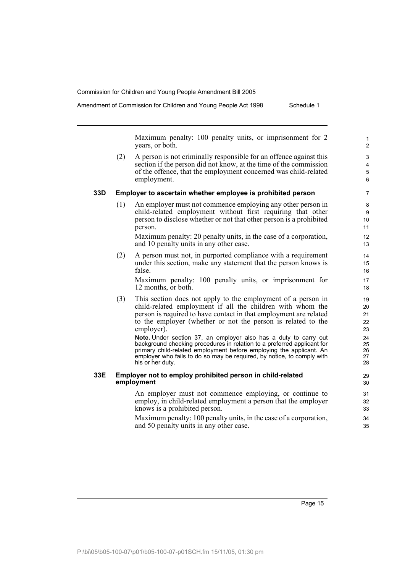Amendment of Commission for Children and Young People Act 1998 Schedule 1

Maximum penalty: 100 penalty units, or imprisonment for 2 years, or both.

(2) A person is not criminally responsible for an offence against this section if the person did not know, at the time of the commission of the offence, that the employment concerned was child-related employment.

## **33D Employer to ascertain whether employee is prohibited person**

(1) An employer must not commence employing any other person in child-related employment without first requiring that other person to disclose whether or not that other person is a prohibited person.

Maximum penalty: 20 penalty units, in the case of a corporation, and 10 penalty units in any other case.

(2) A person must not, in purported compliance with a requirement under this section, make any statement that the person knows is false.

Maximum penalty: 100 penalty units, or imprisonment for 12 months, or both.

(3) This section does not apply to the employment of a person in child-related employment if all the children with whom the person is required to have contact in that employment are related to the employer (whether or not the person is related to the employer).

**Note.** Under section 37, an employer also has a duty to carry out background checking procedures in relation to a preferred applicant for primary child-related employment before employing the applicant. An employer who fails to do so may be required, by notice, to comply with his or her duty.

## **33E Employer not to employ prohibited person in child-related employment**

An employer must not commence employing, or continue to employ, in child-related employment a person that the employer knows is a prohibited person.

Maximum penalty: 100 penalty units, in the case of a corporation, and 50 penalty units in any other case.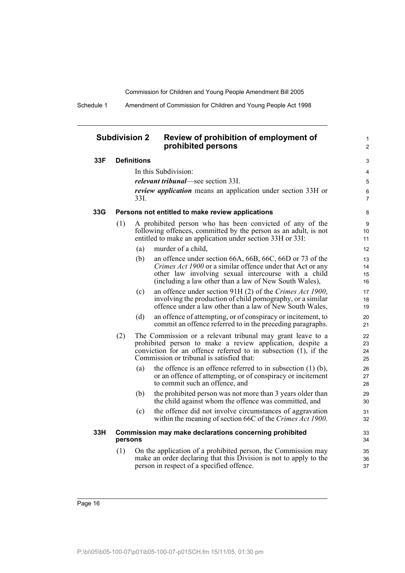Schedule 1 Amendment of Commission for Children and Young People Act 1998

## **Subdivision 2 Review of prohibition of employment of prohibited persons**

1 2

## **33F Definitions**

| 33F | <b>Definitions</b> |                                                                                                                                                                                          |                                                                                                                                                                                                                                            |                      |  |  |
|-----|--------------------|------------------------------------------------------------------------------------------------------------------------------------------------------------------------------------------|--------------------------------------------------------------------------------------------------------------------------------------------------------------------------------------------------------------------------------------------|----------------------|--|--|
|     |                    |                                                                                                                                                                                          | In this Subdivision:                                                                                                                                                                                                                       | 4                    |  |  |
|     |                    |                                                                                                                                                                                          | <i>relevant tribunal</i> —see section 33I.                                                                                                                                                                                                 | $\overline{5}$       |  |  |
|     |                    | 33I.                                                                                                                                                                                     | <i>review application</i> means an application under section 33H or                                                                                                                                                                        | 6<br>$\overline{7}$  |  |  |
| 33G |                    |                                                                                                                                                                                          | Persons not entitled to make review applications                                                                                                                                                                                           | 8                    |  |  |
|     | (1)                | A prohibited person who has been convicted of any of the<br>following offences, committed by the person as an adult, is not<br>entitled to make an application under section 33H or 33I: |                                                                                                                                                                                                                                            |                      |  |  |
|     |                    | (a)                                                                                                                                                                                      | murder of a child,                                                                                                                                                                                                                         | 12                   |  |  |
|     |                    | (b)                                                                                                                                                                                      | an offence under section 66A, 66B, 66C, 66D or 73 of the<br>Crimes Act 1900 or a similar offence under that Act or any<br>other law involving sexual intercourse with a child<br>(including a law other than a law of New South Wales),    | 13<br>14<br>15<br>16 |  |  |
|     |                    | (c)                                                                                                                                                                                      | an offence under section 91H (2) of the Crimes Act 1900,<br>involving the production of child pornography, or a similar<br>offence under a law other than a law of New South Wales,                                                        | 17<br>18<br>19       |  |  |
|     |                    | (d)                                                                                                                                                                                      | an offence of attempting, or of conspiracy or incitement, to<br>commit an offence referred to in the preceding paragraphs.                                                                                                                 | 20<br>21             |  |  |
|     | (2)                |                                                                                                                                                                                          | The Commission or a relevant tribunal may grant leave to a<br>prohibited person to make a review application, despite a<br>conviction for an offence referred to in subsection $(1)$ , if the<br>Commission or tribunal is satisfied that: | 22<br>23<br>24<br>25 |  |  |
|     |                    | (a)                                                                                                                                                                                      | the offence is an offence referred to in subsection $(1)$ $(b)$ ,<br>or an offence of attempting, or of conspiracy or incitement<br>to commit such an offence, and                                                                         | 26<br>27<br>28       |  |  |
|     |                    | (b)                                                                                                                                                                                      | the prohibited person was not more than 3 years older than<br>the child against whom the offence was committed, and                                                                                                                        | 29<br>30             |  |  |
|     |                    | (c)                                                                                                                                                                                      | the offence did not involve circumstances of aggravation<br>within the meaning of section 66C of the Crimes Act 1900.                                                                                                                      | 31<br>32             |  |  |
| 33H | persons            |                                                                                                                                                                                          | Commission may make declarations concerning prohibited                                                                                                                                                                                     | 33<br>34             |  |  |
|     | (1)                |                                                                                                                                                                                          | On the application of a prohibited person, the Commission may<br>make an order declaring that this Division is not to apply to the<br>person in respect of a specified offence.                                                            | 35<br>36<br>37       |  |  |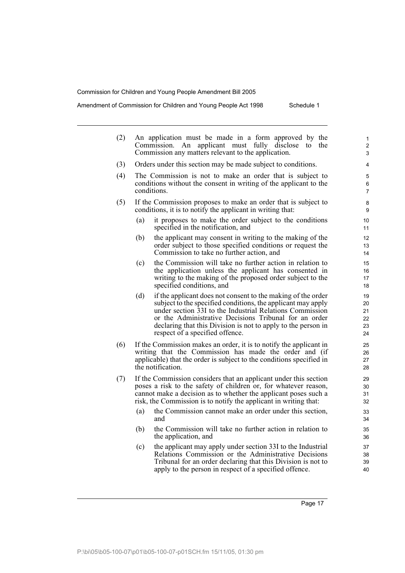Amendment of Commission for Children and Young People Act 1998 Schedule 1

(2) An application must be made in a form approved by the Commission. An applicant must fully disclose to the Commission any matters relevant to the application. (3) Orders under this section may be made subject to conditions. (4) The Commission is not to make an order that is subject to conditions without the consent in writing of the applicant to the conditions. (5) If the Commission proposes to make an order that is subject to conditions, it is to notify the applicant in writing that: (a) it proposes to make the order subject to the conditions specified in the notification, and (b) the applicant may consent in writing to the making of the order subject to those specified conditions or request the Commission to take no further action, and (c) the Commission will take no further action in relation to the application unless the applicant has consented in writing to the making of the proposed order subject to the specified conditions, and (d) if the applicant does not consent to the making of the order subject to the specified conditions, the applicant may apply under section 33I to the Industrial Relations Commission or the Administrative Decisions Tribunal for an order declaring that this Division is not to apply to the person in respect of a specified offence. (6) If the Commission makes an order, it is to notify the applicant in writing that the Commission has made the order and (if applicable) that the order is subject to the conditions specified in the notification. (7) If the Commission considers that an applicant under this section poses a risk to the safety of children or, for whatever reason, cannot make a decision as to whether the applicant poses such a risk, the Commission is to notify the applicant in writing that: (a) the Commission cannot make an order under this section, and (b) the Commission will take no further action in relation to the application, and (c) the applicant may apply under section 33I to the Industrial Relations Commission or the Administrative Decisions Tribunal for an order declaring that this Division is not to 1  $\overline{2}$ 3 4 5 6 7 8 9 10 11 12 13 14 15 16 17 18 19 20 21 22 23  $24$ 25 26 27 28  $29$ 30 31 32 33 34 35 36 37 38 39

apply to the person in respect of a specified offence.

 $40$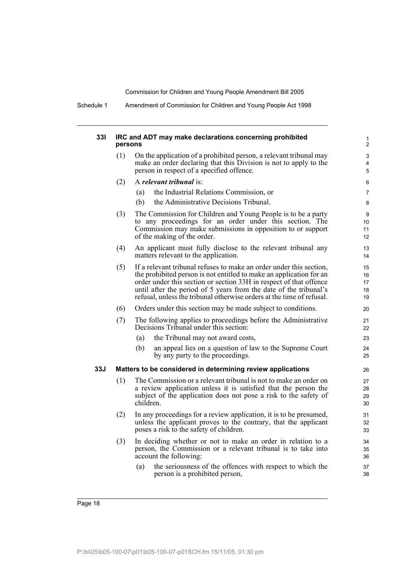Schedule 1 Amendment of Commission for Children and Young People Act 1998

## **33I IRC and ADT may make declarations concerning prohibited persons**

| (1) | On the application of a prohibited person, a relevant tribunal may<br>make an order declaring that this Division is not to apply to the<br>person in respect of a specified offence. |
|-----|--------------------------------------------------------------------------------------------------------------------------------------------------------------------------------------|
|     |                                                                                                                                                                                      |

## (2) A *relevant tribunal* is:

- (a) the Industrial Relations Commission, or
- (b) the Administrative Decisions Tribunal.
- (3) The Commission for Children and Young People is to be a party to any proceedings for an order under this section. The Commission may make submissions in opposition to or support of the making of the order.
- (4) An applicant must fully disclose to the relevant tribunal any matters relevant to the application.
- (5) If a relevant tribunal refuses to make an order under this section, the prohibited person is not entitled to make an application for an order under this section or section 33H in respect of that offence until after the period of 5 years from the date of the tribunal's refusal, unless the tribunal otherwise orders at the time of refusal.
- (6) Orders under this section may be made subject to conditions.
- (7) The following applies to proceedings before the Administrative Decisions Tribunal under this section:
	- (a) the Tribunal may not award costs,
	- (b) an appeal lies on a question of law to the Supreme Court by any party to the proceedings.

### **33J Matters to be considered in determining review applications**

- (1) The Commission or a relevant tribunal is not to make an order on a review application unless it is satisfied that the person the subject of the application does not pose a risk to the safety of children.
- (2) In any proceedings for a review application, it is to be presumed, unless the applicant proves to the contrary, that the applicant poses a risk to the safety of children.
- (3) In deciding whether or not to make an order in relation to a person, the Commission or a relevant tribunal is to take into account the following:
	- (a) the seriousness of the offences with respect to which the person is a prohibited person,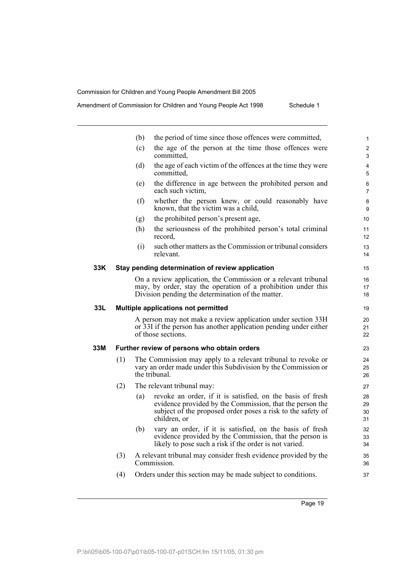Amendment of Commission for Children and Young People Act 1998 Schedule 1

|     |     | (b) | the period of time since those offences were committed,                                                                                                                                               | $\mathbf{1}$         |
|-----|-----|-----|-------------------------------------------------------------------------------------------------------------------------------------------------------------------------------------------------------|----------------------|
|     |     | (c) | the age of the person at the time those offences were<br>committed.                                                                                                                                   | $\overline{2}$<br>3  |
|     |     | (d) | the age of each victim of the offences at the time they were<br>committed.                                                                                                                            | $\overline{4}$<br>5  |
|     |     | (e) | the difference in age between the prohibited person and<br>each such victim,                                                                                                                          | 6<br>7               |
|     |     | (f) | whether the person knew, or could reasonably have<br>known, that the victim was a child,                                                                                                              | 8<br>9               |
|     |     | (g) | the prohibited person's present age,                                                                                                                                                                  | 10                   |
|     |     | (h) | the seriousness of the prohibited person's total criminal<br>record,                                                                                                                                  | 11<br>12             |
|     |     | (i) | such other matters as the Commission or tribunal considers<br>relevant                                                                                                                                | 13<br>14             |
| 33K |     |     | Stay pending determination of review application                                                                                                                                                      | 15                   |
|     |     |     | On a review application, the Commission or a relevant tribunal<br>may, by order, stay the operation of a prohibition under this<br>Division pending the determination of the matter.                  | 16<br>17<br>18       |
| 33L |     |     | Multiple applications not permitted                                                                                                                                                                   | 19                   |
|     |     |     | A person may not make a review application under section 33H<br>or 33I if the person has another application pending under either<br>of those sections.                                               | 20<br>21<br>22       |
| 33M |     |     | Further review of persons who obtain orders                                                                                                                                                           | 23                   |
|     | (1) |     | The Commission may apply to a relevant tribunal to revoke or<br>vary an order made under this Subdivision by the Commission or<br>the tribunal.                                                       | 24<br>25<br>26       |
|     | (2) |     | The relevant tribunal may:                                                                                                                                                                            | 27                   |
|     |     | (a) | revoke an order, if it is satisfied, on the basis of fresh<br>evidence provided by the Commission, that the person the<br>subject of the proposed order poses a risk to the safety of<br>children, or | 28<br>29<br>30<br>31 |
|     |     | (b) | vary an order, if it is satisfied, on the basis of fresh<br>evidence provided by the Commission, that the person is<br>likely to pose such a risk if the order is not varied.                         | 32<br>33<br>34       |
|     | (3) |     | A relevant tribunal may consider fresh evidence provided by the<br>Commission.                                                                                                                        | 35<br>36             |
|     | (4) |     | Orders under this section may be made subject to conditions.                                                                                                                                          | 37                   |
|     |     |     |                                                                                                                                                                                                       |                      |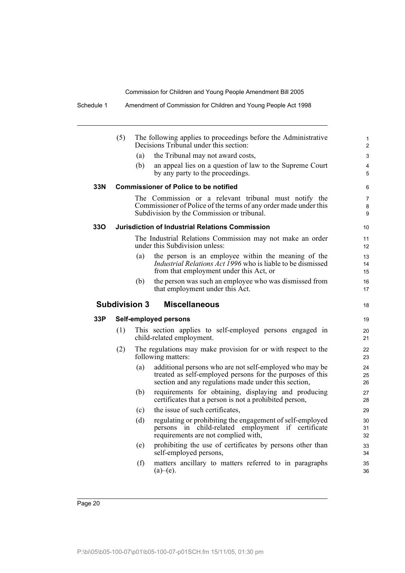|     | (5) |                      | The following applies to proceedings before the Administrative<br>Decisions Tribunal under this section:                                                                     | 1<br>$\overline{2}$      |
|-----|-----|----------------------|------------------------------------------------------------------------------------------------------------------------------------------------------------------------------|--------------------------|
|     |     | (a)                  | the Tribunal may not award costs,                                                                                                                                            | 3                        |
|     |     | (b)                  | an appeal lies on a question of law to the Supreme Court<br>by any party to the proceedings.                                                                                 | 4<br>5                   |
| 33N |     |                      | <b>Commissioner of Police to be notified</b>                                                                                                                                 | 6                        |
|     |     |                      | The Commission or a relevant tribunal must notify the<br>Commissioner of Police of the terms of any order made under this<br>Subdivision by the Commission or tribunal.      | $\overline{7}$<br>8<br>9 |
| 33O |     |                      | <b>Jurisdiction of Industrial Relations Commission</b>                                                                                                                       | 10                       |
|     |     |                      | The Industrial Relations Commission may not make an order<br>under this Subdivision unless:                                                                                  | 11<br>12                 |
|     |     | (a)                  | the person is an employee within the meaning of the<br><i>Industrial Relations Act 1996</i> who is liable to be dismissed<br>from that employment under this Act, or         | 13<br>14<br>15           |
|     |     | (b)                  | the person was such an employee who was dismissed from<br>that employment under this Act.                                                                                    | 16<br>17                 |
|     |     | <b>Subdivision 3</b> | <b>Miscellaneous</b>                                                                                                                                                         | 18                       |
| 33P |     |                      | <b>Self-employed persons</b>                                                                                                                                                 | 19                       |
|     | (1) |                      | This section applies to self-employed persons engaged in<br>child-related employment.                                                                                        | 20<br>21                 |
|     | (2) |                      | The regulations may make provision for or with respect to the<br>following matters:                                                                                          | 22<br>23                 |
|     |     | (a)                  | additional persons who are not self-employed who may be<br>treated as self-employed persons for the purposes of this<br>section and any regulations made under this section, | 24<br>25<br>26           |
|     |     | (b)                  | requirements for obtaining, displaying and producing<br>certificates that a person is not a prohibited person,                                                               | 27<br>28                 |
|     |     | (c)                  | the issue of such certificates,                                                                                                                                              | 29                       |
|     |     | (d)                  | regulating or prohibiting the engagement of self-employed<br>persons in child-related employment if certificate<br>requirements are not complied with,                       | 30<br>31<br>32           |
|     |     | (e)                  | prohibiting the use of certificates by persons other than<br>self-employed persons,                                                                                          | 33<br>34                 |
|     |     | (f)                  | matters ancillary to matters referred to in paragraphs<br>$(a)$ – $(e)$ .                                                                                                    | 35<br>36                 |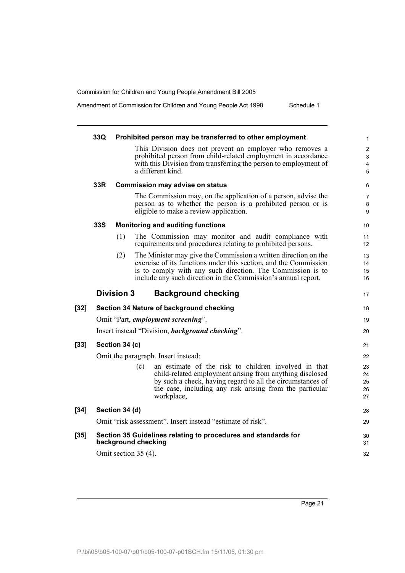Amendment of Commission for Children and Young People Act 1998 Schedule 1

|        | 33Q        |                      |     | Prohibited person may be transferred to other employment                                                                                                                                                                                                           | $\mathbf{1}$                  |
|--------|------------|----------------------|-----|--------------------------------------------------------------------------------------------------------------------------------------------------------------------------------------------------------------------------------------------------------------------|-------------------------------|
|        |            |                      |     | This Division does not prevent an employer who removes a<br>prohibited person from child-related employment in accordance<br>with this Division from transferring the person to employment of<br>a different kind.                                                 | $\overline{2}$<br>3<br>4<br>5 |
|        | 33R        |                      |     | <b>Commission may advise on status</b>                                                                                                                                                                                                                             | 6                             |
|        |            |                      |     | The Commission may, on the application of a person, advise the<br>person as to whether the person is a prohibited person or is<br>eligible to make a review application.                                                                                           | $\overline{7}$<br>8<br>9      |
|        | <b>33S</b> |                      |     | <b>Monitoring and auditing functions</b>                                                                                                                                                                                                                           | 10                            |
|        |            | (1)                  |     | The Commission may monitor and audit compliance with<br>requirements and procedures relating to prohibited persons.                                                                                                                                                | 11<br>12                      |
|        |            | (2)                  |     | The Minister may give the Commission a written direction on the<br>exercise of its functions under this section, and the Commission<br>is to comply with any such direction. The Commission is to<br>include any such direction in the Commission's annual report. | 13<br>14<br>15<br>16          |
|        |            | <b>Division 3</b>    |     | <b>Background checking</b>                                                                                                                                                                                                                                         | 17                            |
| $[32]$ |            |                      |     | Section 34 Nature of background checking                                                                                                                                                                                                                           | 18                            |
|        |            |                      |     | Omit "Part, employment screening".                                                                                                                                                                                                                                 | 19                            |
|        |            |                      |     | Insert instead "Division, background checking".                                                                                                                                                                                                                    | 20                            |
| $[33]$ |            | Section 34 (c)       |     |                                                                                                                                                                                                                                                                    | 21                            |
|        |            |                      |     | Omit the paragraph. Insert instead:                                                                                                                                                                                                                                | 22                            |
|        |            |                      | (c) | an estimate of the risk to children involved in that<br>child-related employment arising from anything disclosed<br>by such a check, having regard to all the circumstances of<br>the case, including any risk arising from the particular<br>workplace,           | 23<br>24<br>25<br>26<br>27    |
| $[34]$ |            | Section 34 (d)       |     |                                                                                                                                                                                                                                                                    | 28                            |
|        |            |                      |     | Omit "risk assessment". Insert instead "estimate of risk".                                                                                                                                                                                                         | 29                            |
| $[35]$ |            | background checking  |     | Section 35 Guidelines relating to procedures and standards for                                                                                                                                                                                                     | 30<br>31                      |
|        |            | Omit section 35 (4). |     |                                                                                                                                                                                                                                                                    | 32                            |
|        |            |                      |     |                                                                                                                                                                                                                                                                    |                               |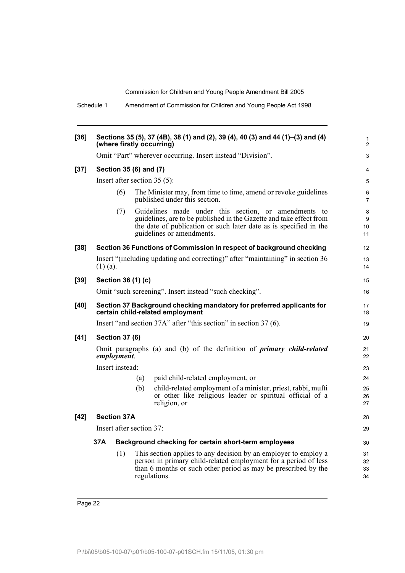Schedule 1 Amendment of Commission for Children and Young People Act 1998

| $[36]$ |            |                       |                          | Sections 35 (5), 37 (4B), 38 (1) and (2), 39 (4), 40 (3) and 44 (1)–(3) and (4)                                                                                                                                               |                      |
|--------|------------|-----------------------|--------------------------|-------------------------------------------------------------------------------------------------------------------------------------------------------------------------------------------------------------------------------|----------------------|
|        |            |                       |                          | (where firstly occurring)                                                                                                                                                                                                     | 1<br>2               |
|        |            |                       |                          | Omit "Part" wherever occurring. Insert instead "Division".                                                                                                                                                                    | 3                    |
| $[37]$ |            |                       | Section 35 (6) and (7)   |                                                                                                                                                                                                                               | 4                    |
|        |            |                       |                          | Insert after section $35(5)$ :                                                                                                                                                                                                | 5                    |
|        |            | (6)                   |                          | The Minister may, from time to time, amend or revoke guidelines<br>published under this section.                                                                                                                              | 6<br>$\overline{7}$  |
|        |            | (7)                   |                          | Guidelines made under this section, or amendments to<br>guidelines, are to be published in the Gazette and take effect from<br>the date of publication or such later date as is specified in the<br>guidelines or amendments. | 8<br>9<br>10<br>11   |
| $[38]$ |            |                       |                          | Section 36 Functions of Commission in respect of background checking                                                                                                                                                          | $12 \overline{ }$    |
|        | $(1)$ (a). |                       |                          | Insert "(including updating and correcting)" after "maintaining" in section 36                                                                                                                                                | 13<br>14             |
| $[39]$ |            |                       | Section 36 (1) (c)       |                                                                                                                                                                                                                               | 15                   |
|        |            |                       |                          | Omit "such screening". Insert instead "such checking".                                                                                                                                                                        | 16                   |
| $[40]$ |            |                       |                          | Section 37 Background checking mandatory for preferred applicants for<br>certain child-related employment                                                                                                                     | 17<br>18             |
|        |            |                       |                          | Insert "and section 37A" after "this section" in section 37 (6).                                                                                                                                                              | 19                   |
| $[41]$ |            | <b>Section 37 (6)</b> |                          |                                                                                                                                                                                                                               | 20                   |
|        |            | employment.           |                          | Omit paragraphs (a) and (b) of the definition of <i>primary child-related</i>                                                                                                                                                 | 21<br>22             |
|        |            | Insert instead:       |                          |                                                                                                                                                                                                                               | 23                   |
|        |            |                       | (a)                      | paid child-related employment, or                                                                                                                                                                                             | 24                   |
|        |            |                       | (b)                      | child-related employment of a minister, priest, rabbi, mufti<br>or other like religious leader or spiritual official of a<br>religion, or                                                                                     | 25<br>26<br>27       |
| $[42]$ |            | <b>Section 37A</b>    |                          |                                                                                                                                                                                                                               | 28                   |
|        |            |                       | Insert after section 37: |                                                                                                                                                                                                                               | 29                   |
|        | 37A        |                       |                          | Background checking for certain short-term employees                                                                                                                                                                          | 30                   |
|        |            | (1)                   |                          | This section applies to any decision by an employer to employ a<br>person in primary child-related employment for a period of less<br>than 6 months or such other period as may be prescribed by the<br>regulations.          | 31<br>32<br>33<br>34 |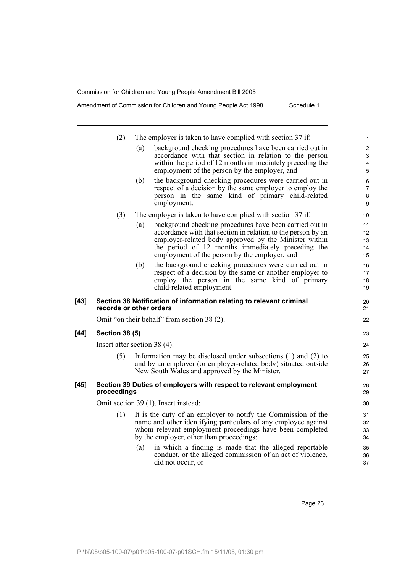|      | (2)                   | The employer is taken to have complied with section 37 if:                                                                                                                                                                                                                                    | $\mathbf{1}$                                        |
|------|-----------------------|-----------------------------------------------------------------------------------------------------------------------------------------------------------------------------------------------------------------------------------------------------------------------------------------------|-----------------------------------------------------|
|      |                       | background checking procedures have been carried out in<br>(a)<br>accordance with that section in relation to the person<br>within the period of 12 months immediately preceding the<br>employment of the person by the employer, and                                                         | $\overline{c}$<br>3<br>$\overline{\mathbf{4}}$<br>5 |
|      |                       | the background checking procedures were carried out in<br>(b)<br>respect of a decision by the same employer to employ the<br>person in the same kind of primary child-related<br>employment.                                                                                                  | 6<br>7<br>8<br>9                                    |
|      | (3)                   | The employer is taken to have complied with section 37 if:                                                                                                                                                                                                                                    | 10                                                  |
|      |                       | background checking procedures have been carried out in<br>(a)<br>accordance with that section in relation to the person by an<br>employer-related body approved by the Minister within<br>the period of 12 months immediately preceding the<br>employment of the person by the employer, and | 11<br>12<br>13<br>14<br>15                          |
|      |                       | the background checking procedures were carried out in<br>(b)<br>respect of a decision by the same or another employer to<br>employ the person in the same kind of primary<br>child-related employment.                                                                                       | 16<br>17<br>18<br>19                                |
| [43] |                       | Section 38 Notification of information relating to relevant criminal<br>records or other orders                                                                                                                                                                                               | 20<br>21                                            |
|      |                       | Omit "on their behalf" from section 38 (2).                                                                                                                                                                                                                                                   | 22                                                  |
| [44] | <b>Section 38 (5)</b> |                                                                                                                                                                                                                                                                                               | 23                                                  |
|      |                       | Insert after section $38(4)$ :                                                                                                                                                                                                                                                                | 24                                                  |
|      | (5)                   | Information may be disclosed under subsections $(1)$ and $(2)$ to<br>and by an employer (or employer-related body) situated outside<br>New South Wales and approved by the Minister.                                                                                                          | 25<br>26<br>27                                      |
| [45] | proceedings           | Section 39 Duties of employers with respect to relevant employment                                                                                                                                                                                                                            | 28<br>29                                            |
|      |                       | Omit section 39 (1). Insert instead:                                                                                                                                                                                                                                                          | 30                                                  |
|      | (1)                   | It is the duty of an employer to notify the Commission of the<br>name and other identifying particulars of any employee against<br>whom relevant employment proceedings have been completed<br>by the employer, other than proceedings:                                                       | 31<br>32<br>33<br>34                                |
|      |                       | in which a finding is made that the alleged reportable<br>(a)<br>conduct, or the alleged commission of an act of violence,<br>did not occur, or                                                                                                                                               | 35<br>36<br>37                                      |

Page 23

 $[44]$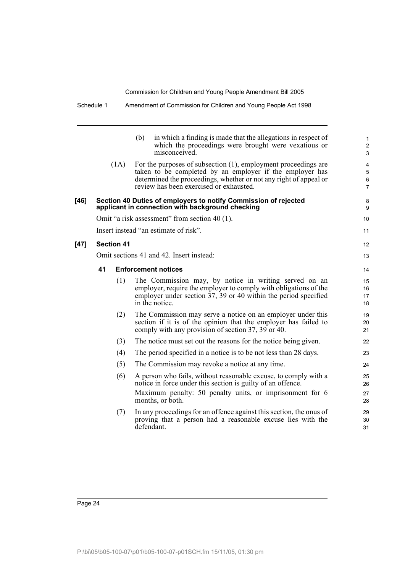|        |                                          | (b)<br>misconceived. | in which a finding is made that the allegations in respect of<br>which the proceedings were brought were vexatious or                                                                                                                      | 1<br>$\overline{\mathbf{c}}$<br>3 |
|--------|------------------------------------------|----------------------|--------------------------------------------------------------------------------------------------------------------------------------------------------------------------------------------------------------------------------------------|-----------------------------------|
|        |                                          | (1A)                 | For the purposes of subsection (1), employment proceedings are<br>taken to be completed by an employer if the employer has<br>determined the proceedings, whether or not any right of appeal or<br>review has been exercised or exhausted. | 4<br>5<br>6<br>$\overline{7}$     |
| [46]   |                                          |                      | Section 40 Duties of employers to notify Commission of rejected<br>applicant in connection with background checking                                                                                                                        | 8<br>9                            |
|        |                                          |                      | Omit "a risk assessment" from section 40 (1).                                                                                                                                                                                              | 10                                |
|        |                                          |                      | Insert instead "an estimate of risk".                                                                                                                                                                                                      | 11                                |
| $[47]$ |                                          | <b>Section 41</b>    |                                                                                                                                                                                                                                            | 12                                |
|        | Omit sections 41 and 42. Insert instead: |                      |                                                                                                                                                                                                                                            |                                   |
|        | 41                                       |                      | <b>Enforcement notices</b>                                                                                                                                                                                                                 | 14                                |
|        |                                          | (1)                  | The Commission may, by notice in writing served on an<br>employer, require the employer to comply with obligations of the<br>employer under section $37$ , 39 or 40 within the period specified<br>in the notice.                          | 15<br>16<br>17<br>18              |
|        |                                          | (2)                  | The Commission may serve a notice on an employer under this<br>section if it is of the opinion that the employer has failed to<br>comply with any provision of section 37, 39 or 40.                                                       | 19<br>20<br>21                    |
|        |                                          | (3)                  | The notice must set out the reasons for the notice being given.                                                                                                                                                                            | 22                                |
|        |                                          | (4)                  | The period specified in a notice is to be not less than 28 days.                                                                                                                                                                           | 23                                |
|        |                                          | (5)                  | The Commission may revoke a notice at any time.                                                                                                                                                                                            | 24                                |
|        |                                          | (6)                  | A person who fails, without reasonable excuse, to comply with a<br>notice in force under this section is guilty of an offence.<br>Maximum penalty: 50 penalty units, or imprisonment for 6<br>months, or both.                             | 25<br>26<br>27<br>28              |
|        |                                          | (7)                  | In any proceedings for an offence against this section, the onus of<br>proving that a person had a reasonable excuse lies with the<br>defendant.                                                                                           | 29<br>30<br>31                    |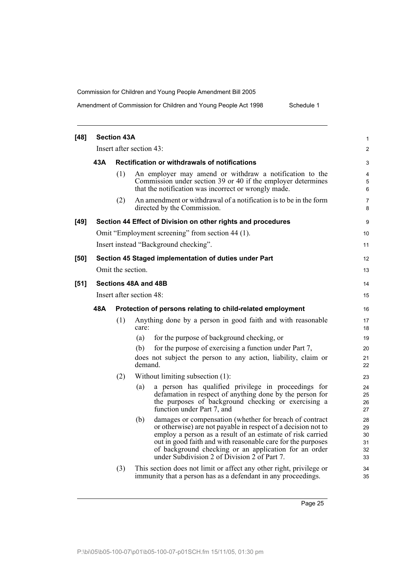Amendment of Commission for Children and Young People Act 1998 Schedule 1

| $[48]$ |     | <b>Section 43A</b> |                                                                                                                                                                                                                                                                                                                                                                         | $\mathbf{1}$                      |
|--------|-----|--------------------|-------------------------------------------------------------------------------------------------------------------------------------------------------------------------------------------------------------------------------------------------------------------------------------------------------------------------------------------------------------------------|-----------------------------------|
|        |     |                    | Insert after section 43:                                                                                                                                                                                                                                                                                                                                                | $\overline{2}$                    |
|        | 43A |                    | <b>Rectification or withdrawals of notifications</b>                                                                                                                                                                                                                                                                                                                    | 3                                 |
|        |     | (1)                | An employer may amend or withdraw a notification to the<br>Commission under section 39 or 40 if the employer determines<br>that the notification was incorrect or wrongly made.                                                                                                                                                                                         | $\overline{\mathbf{4}}$<br>5<br>6 |
|        |     | (2)                | An amendment or withdrawal of a notification is to be in the form<br>directed by the Commission.                                                                                                                                                                                                                                                                        | 7<br>8                            |
| $[49]$ |     |                    | Section 44 Effect of Division on other rights and procedures                                                                                                                                                                                                                                                                                                            | 9                                 |
|        |     |                    | Omit "Employment screening" from section 44 (1).                                                                                                                                                                                                                                                                                                                        | 10                                |
|        |     |                    | Insert instead "Background checking".                                                                                                                                                                                                                                                                                                                                   | 11                                |
| [50]   |     |                    | Section 45 Staged implementation of duties under Part                                                                                                                                                                                                                                                                                                                   | 12                                |
|        |     | Omit the section.  |                                                                                                                                                                                                                                                                                                                                                                         | 13                                |
| $[51]$ |     |                    | Sections 48A and 48B                                                                                                                                                                                                                                                                                                                                                    | 14                                |
|        |     |                    | Insert after section 48:                                                                                                                                                                                                                                                                                                                                                | 15                                |
|        | 48A |                    | Protection of persons relating to child-related employment                                                                                                                                                                                                                                                                                                              | 16                                |
|        |     | (1)                | Anything done by a person in good faith and with reasonable<br>care:                                                                                                                                                                                                                                                                                                    | 17<br>18                          |
|        |     |                    | for the purpose of background checking, or<br>(a)                                                                                                                                                                                                                                                                                                                       | 19                                |
|        |     |                    | for the purpose of exercising a function under Part 7,<br>(b)                                                                                                                                                                                                                                                                                                           | 20                                |
|        |     |                    | does not subject the person to any action, liability, claim or<br>demand.                                                                                                                                                                                                                                                                                               | 21<br>22                          |
|        |     | (2)                | Without limiting subsection (1):                                                                                                                                                                                                                                                                                                                                        | 23                                |
|        |     |                    | a person has qualified privilege in proceedings for<br>(a)<br>defamation in respect of anything done by the person for<br>the purposes of background checking or exercising a<br>function under Part 7, and                                                                                                                                                             | 24<br>25<br>26<br>27              |
|        |     |                    | damages or compensation (whether for breach of contract<br>(b)<br>or otherwise) are not payable in respect of a decision not to<br>employ a person as a result of an estimate of risk carried<br>out in good faith and with reasonable care for the purposes<br>of background checking or an application for an order<br>under Subdivision 2 of Division $2$ of Part 7. | 28<br>29<br>30<br>31<br>32<br>33  |
|        |     | (3)                | This section does not limit or affect any other right, privilege or<br>immunity that a person has as a defendant in any proceedings.                                                                                                                                                                                                                                    | 34<br>35                          |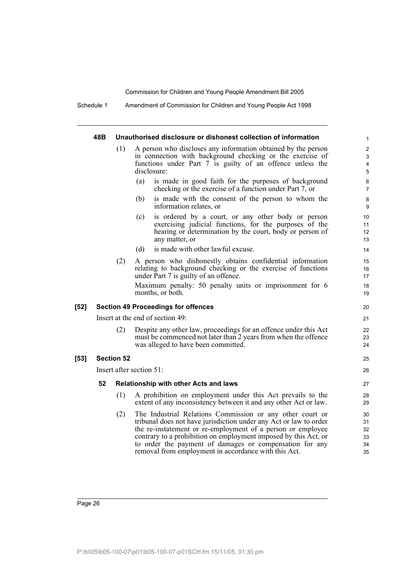Schedule 1 Amendment of Commission for Children and Young People Act 1998

### **48B Unauthorised disclosure or dishonest collection of information**

- (1) A person who discloses any information obtained by the person in connection with background checking or the exercise of functions under Part 7 is guilty of an offence unless the disclosure:
	- (a) is made in good faith for the purposes of background checking or the exercise of a function under Part 7, or

25 26

- (b) is made with the consent of the person to whom the information relates, or
- (c) is ordered by a court, or any other body or person exercising judicial functions, for the purposes of the hearing or determination by the court, body or person of any matter, or
- (d) is made with other lawful excuse.
- (2) A person who dishonestly obtains confidential information relating to background checking or the exercise of functions under Part 7 is guilty of an offence.

Maximum penalty: 50 penalty units or imprisonment for 6 months, or both.

### **[52] Section 49 Proceedings for offences**

Insert at the end of section 49:

(2) Despite any other law, proceedings for an offence under this Act must be commenced not later than 2 years from when the offence was alleged to have been committed.

## **[53] Section 52**

Insert after section 51:

### **52 Relationship with other Acts and laws**

- (1) A prohibition on employment under this Act prevails to the extent of any inconsistency between it and any other Act or law.
- (2) The Industrial Relations Commission or any other court or tribunal does not have jurisdiction under any Act or law to order the re-instatement or re-employment of a person or employee contrary to a prohibition on employment imposed by this Act, or to order the payment of damages or compensation for any removal from employment in accordance with this Act.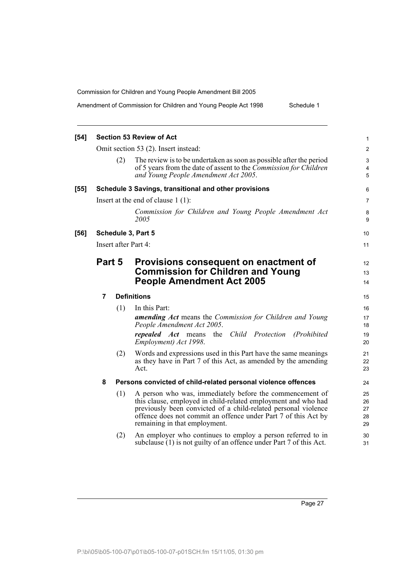Amendment of Commission for Children and Young People Act 1998 Schedule 1

| $[54]$ |        |     | <b>Section 53 Review of Act</b>                                                                                                                                                                                                                                                                | 1                          |
|--------|--------|-----|------------------------------------------------------------------------------------------------------------------------------------------------------------------------------------------------------------------------------------------------------------------------------------------------|----------------------------|
|        |        |     | Omit section 53 (2). Insert instead:                                                                                                                                                                                                                                                           | $\overline{2}$             |
|        |        | (2) | The review is to be undertaken as soon as possible after the period<br>of 5 years from the date of assent to the <i>Commission for Children</i><br>and Young People Amendment Act 2005.                                                                                                        | 3<br>4<br>5                |
| $[55]$ |        |     | Schedule 3 Savings, transitional and other provisions                                                                                                                                                                                                                                          | 6                          |
|        |        |     | Insert at the end of clause $1(1)$ :                                                                                                                                                                                                                                                           | $\overline{7}$             |
|        |        |     | Commission for Children and Young People Amendment Act<br>2005                                                                                                                                                                                                                                 | 8<br>9                     |
| $[56]$ |        |     | Schedule 3, Part 5                                                                                                                                                                                                                                                                             | 10                         |
|        |        |     | Insert after Part 4:                                                                                                                                                                                                                                                                           | 11                         |
|        | Part 5 |     | Provisions consequent on enactment of                                                                                                                                                                                                                                                          | 12                         |
|        |        |     | <b>Commission for Children and Young</b>                                                                                                                                                                                                                                                       | 13                         |
|        |        |     | <b>People Amendment Act 2005</b>                                                                                                                                                                                                                                                               | 14                         |
|        | 7      |     | <b>Definitions</b>                                                                                                                                                                                                                                                                             | 15                         |
|        |        | (1) | In this Part:                                                                                                                                                                                                                                                                                  | 16                         |
|        |        |     | <b>amending Act</b> means the Commission for Children and Young<br>People Amendment Act 2005.                                                                                                                                                                                                  | 17<br>18                   |
|        |        |     | repealed Act means the Child Protection<br>(Prohibited)<br>Employment) Act 1998.                                                                                                                                                                                                               | 19<br>20                   |
|        |        | (2) | Words and expressions used in this Part have the same meanings<br>as they have in Part 7 of this Act, as amended by the amending<br>Act.                                                                                                                                                       | 21<br>22<br>23             |
|        | 8      |     | Persons convicted of child-related personal violence offences                                                                                                                                                                                                                                  | 24                         |
|        |        | (1) | A person who was, immediately before the commencement of<br>this clause, employed in child-related employment and who had<br>previously been convicted of a child-related personal violence<br>offence does not commit an offence under Part 7 of this Act by<br>remaining in that employment. | 25<br>26<br>27<br>28<br>29 |
|        |        | (2) | An employer who continues to employ a person referred to in<br>subclause (1) is not guilty of an offence under Part 7 of this Act.                                                                                                                                                             | 30<br>31                   |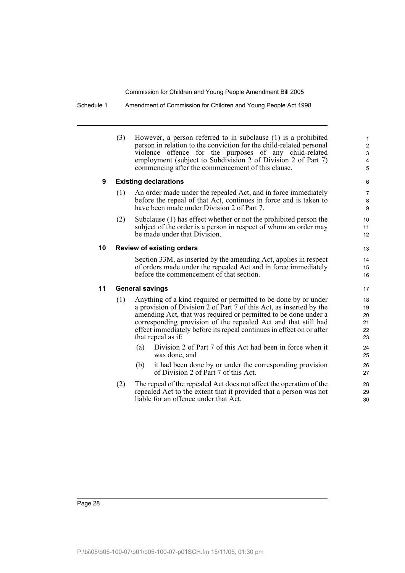Schedule 1 Amendment of Commission for Children and Young People Act 1998

|    | (3) | However, a person referred to in subclause (1) is a prohibited<br>person in relation to the conviction for the child-related personal<br>offence for the purposes of any child-related<br>violence<br>employment (subject to Subdivision 2 of Division 2 of Part 7)<br>commencing after the commencement of this clause.                                                  | $\mathbf{1}$<br>$\mathbf{2}$<br>3<br>$\overline{\mathbf{4}}$<br>5 |
|----|-----|---------------------------------------------------------------------------------------------------------------------------------------------------------------------------------------------------------------------------------------------------------------------------------------------------------------------------------------------------------------------------|-------------------------------------------------------------------|
| 9  |     | <b>Existing declarations</b>                                                                                                                                                                                                                                                                                                                                              | 6                                                                 |
|    | (1) | An order made under the repealed Act, and in force immediately<br>before the repeal of that Act, continues in force and is taken to<br>have been made under Division 2 of Part 7.                                                                                                                                                                                         | $\overline{7}$<br>8<br>9                                          |
|    | (2) | Subclause (1) has effect whether or not the prohibited person the<br>subject of the order is a person in respect of whom an order may<br>be made under that Division.                                                                                                                                                                                                     | 10<br>11<br>12                                                    |
| 10 |     | <b>Review of existing orders</b>                                                                                                                                                                                                                                                                                                                                          | 13                                                                |
|    |     | Section 33M, as inserted by the amending Act, applies in respect<br>of orders made under the repealed Act and in force immediately<br>before the commencement of that section.                                                                                                                                                                                            | 14<br>15<br>16                                                    |
| 11 |     | <b>General savings</b>                                                                                                                                                                                                                                                                                                                                                    | 17                                                                |
|    | (1) | Anything of a kind required or permitted to be done by or under<br>a provision of Division 2 of Part 7 of this Act, as inserted by the<br>amending Act, that was required or permitted to be done under a<br>corresponding provision of the repealed Act and that still had<br>effect immediately before its repeal continues in effect on or after<br>that repeal as if: | 18<br>19<br>20<br>21<br>22<br>23                                  |
|    |     | Division 2 of Part 7 of this Act had been in force when it<br>(a)<br>was done, and                                                                                                                                                                                                                                                                                        | 24<br>25                                                          |
|    |     | it had been done by or under the corresponding provision<br>(b)<br>of Division 2 of Part 7 of this Act.                                                                                                                                                                                                                                                                   | 26<br>27                                                          |
|    | (2) | The repeal of the repealed Act does not affect the operation of the<br>repealed Act to the extent that it provided that a person was not<br>liable for an offence under that Act.                                                                                                                                                                                         | 28<br>29<br>30                                                    |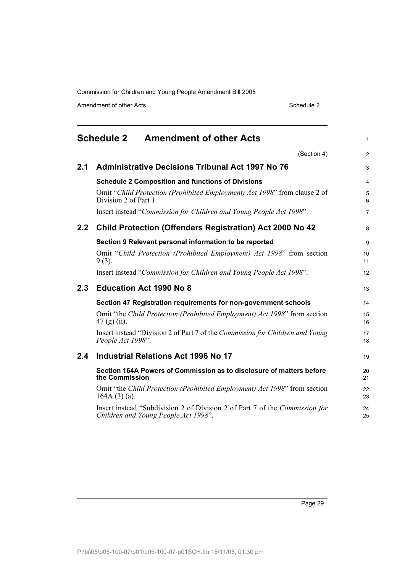Amendment of other Acts Schedule 2

<span id="page-38-0"></span>

|     | <b>Schedule 2</b><br><b>Amendment of other Acts</b>                                                                 | $\mathbf{1}$   |
|-----|---------------------------------------------------------------------------------------------------------------------|----------------|
|     | (Section 4)                                                                                                         | $\overline{2}$ |
| 2.1 | <b>Administrative Decisions Tribunal Act 1997 No 76</b>                                                             | 3              |
|     | <b>Schedule 2 Composition and functions of Divisions</b>                                                            | $\overline{4}$ |
|     | Omit "Child Protection (Prohibited Employment) Act 1998" from clause 2 of<br>Division 2 of Part 1.                  | 5<br>6         |
|     | Insert instead "Commission for Children and Young People Act 1998".                                                 | $\overline{7}$ |
| 2.2 | <b>Child Protection (Offenders Registration) Act 2000 No 42</b>                                                     | 8              |
|     | Section 9 Relevant personal information to be reported                                                              | 9              |
|     | Omit "Child Protection (Prohibited Employment) Act 1998" from section<br>$9(3)$ .                                   | 10<br>11       |
|     | Insert instead "Commission for Children and Young People Act 1998".                                                 | 12             |
| 2.3 | <b>Education Act 1990 No 8</b>                                                                                      | 13             |
|     | Section 47 Registration requirements for non-government schools                                                     | 14             |
|     | Omit "the Child Protection (Prohibited Employment) Act 1998" from section<br>$47(g)(ii)$ .                          | 15<br>16       |
|     | Insert instead "Division 2 of Part 7 of the Commission for Children and Young<br>People Act 1998".                  | 17<br>18       |
| 2.4 | <b>Industrial Relations Act 1996 No 17</b>                                                                          | 19             |
|     | Section 164A Powers of Commission as to disclosure of matters before<br>the Commission                              | 20<br>21       |
|     | Omit "the Child Protection (Prohibited Employment) Act 1998" from section<br>$164A(3)(a)$ .                         | 22<br>23       |
|     | Insert instead "Subdivision 2 of Division 2 of Part 7 of the Commission for<br>Children and Young People Act 1998". | 24<br>25       |